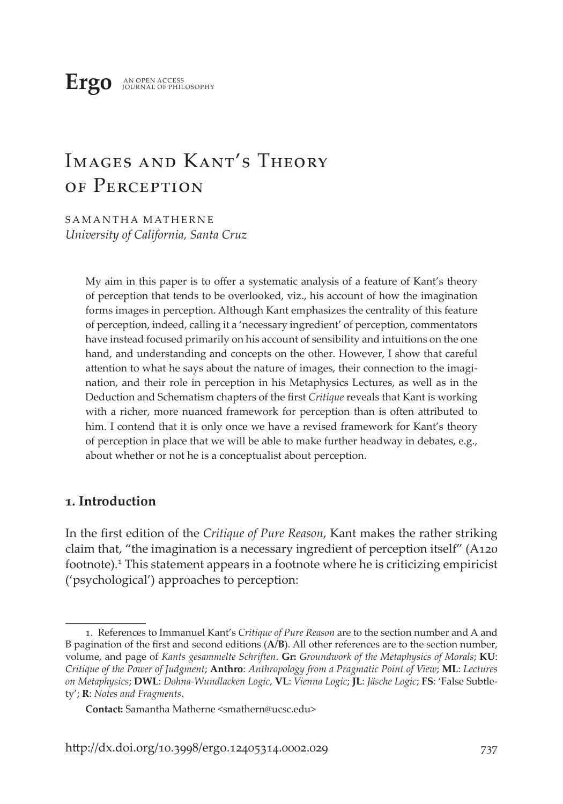# Images and Kant's Theory OF PERCEPTION

SAMANTHA MATHERNE *University of California, Santa Cruz*

> My aim in this paper is to offer a systematic analysis of a feature of Kant's theory of perception that tends to be overlooked, viz., his account of how the imagination forms images in perception. Although Kant emphasizes the centrality of this feature of perception, indeed, calling it a 'necessary ingredient' of perception, commentators have instead focused primarily on his account of sensibility and intuitions on the one hand, and understanding and concepts on the other. However, I show that careful attention to what he says about the nature of images, their connection to the imagination, and their role in perception in his Metaphysics Lectures, as well as in the Deduction and Schematism chapters of the first *Critique* reveals that Kant is working with a richer, more nuanced framework for perception than is often attributed to him. I contend that it is only once we have a revised framework for Kant's theory of perception in place that we will be able to make further headway in debates, e.g., about whether or not he is a conceptualist about perception.

## **1. Introduction**

In the first edition of the *Critique of Pure Reason*, Kant makes the rather striking claim that, "the imagination is a necessary ingredient of perception itself" (A120 footnote).<sup>1</sup> This statement appears in a footnote where he is criticizing empiricist ('psychological') approaches to perception:

<sup>1.</sup> References to Immanuel Kant's *Critique of Pure Reason* are to the section number and A and B pagination of the first and second editions (**A/B**). All other references are to the section number, volume, and page of *Kants gesammelte Schriften*. **Gr:** *Groundwork of the Metaphysics of Morals*; **KU**: *Critique of the Power of Judgment*; **Anthro**: *Anthropology from a Pragmatic Point of View*; **ML**: *Lectures on Metaphysics*; **DWL**: *Dohna-Wundlacken Logic*, **VL**: *Vienna Logic*; **JL**: *Jäsche Logic*; **FS**: 'False Subtlety'; **R**: *Notes and Fragments*.

**Contact:** Samantha Matherne <smathern@ucsc.edu>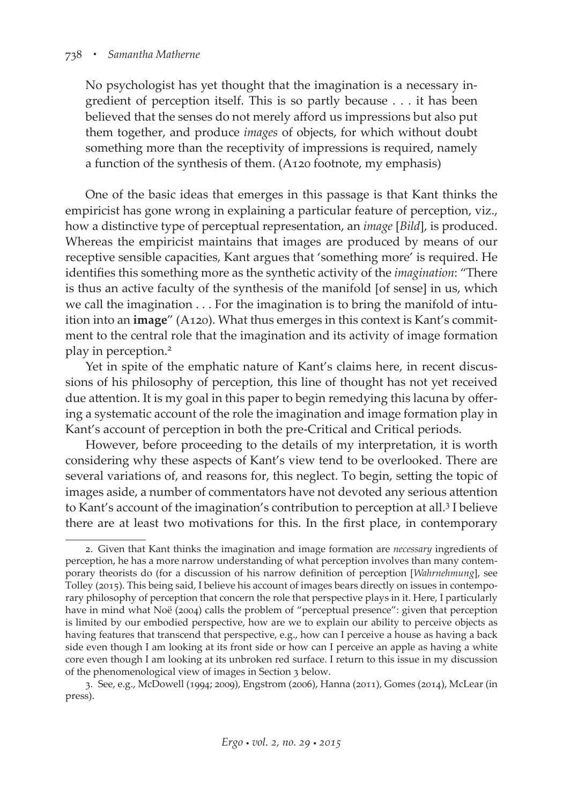No psychologist has yet thought that the imagination is a necessary ingredient of perception itself. This is so partly because . . . it has been believed that the senses do not merely afford us impressions but also put them together, and produce *images* of objects, for which without doubt something more than the receptivity of impressions is required, namely a function of the synthesis of them. (A120 footnote, my emphasis)

One of the basic ideas that emerges in this passage is that Kant thinks the empiricist has gone wrong in explaining a particular feature of perception, viz., how a distinctive type of perceptual representation, an *image* [*Bild*], is produced. Whereas the empiricist maintains that images are produced by means of our receptive sensible capacities, Kant argues that 'something more' is required. He identifies this something more as the synthetic activity of the *imagination*: "There is thus an active faculty of the synthesis of the manifold [of sense] in us, which we call the imagination . . . For the imagination is to bring the manifold of intuition into an **image**" (A120). What thus emerges in this context is Kant's commitment to the central role that the imagination and its activity of image formation play in perception.<sup>2</sup>

Yet in spite of the emphatic nature of Kant's claims here, in recent discussions of his philosophy of perception, this line of thought has not yet received due attention. It is my goal in this paper to begin remedying this lacuna by offering a systematic account of the role the imagination and image formation play in Kant's account of perception in both the pre-Critical and Critical periods.

However, before proceeding to the details of my interpretation, it is worth considering why these aspects of Kant's view tend to be overlooked. There are several variations of, and reasons for, this neglect. To begin, setting the topic of images aside, a number of commentators have not devoted any serious attention to Kant's account of the imagination's contribution to perception at all.<sup>3</sup> I believe there are at least two motivations for this. In the first place, in contemporary

<sup>2.</sup> Given that Kant thinks the imagination and image formation are *necessary* ingredients of perception, he has a more narrow understanding of what perception involves than many contemporary theorists do (for a discussion of his narrow definition of perception [*Wahrnehmung*], see Tolley (2015). This being said, I believe his account of images bears directly on issues in contemporary philosophy of perception that concern the role that perspective plays in it. Here, I particularly have in mind what Noë (2004) calls the problem of "perceptual presence": given that perception is limited by our embodied perspective, how are we to explain our ability to perceive objects as having features that transcend that perspective, e.g., how can I perceive a house as having a back side even though I am looking at its front side or how can I perceive an apple as having a white core even though I am looking at its unbroken red surface. I return to this issue in my discussion of the phenomenological view of images in Section 3 below.

<sup>3.</sup> See, e.g., McDowell (1994; 2009), Engstrom (2006), Hanna (2011), Gomes (2014), McLear (in press).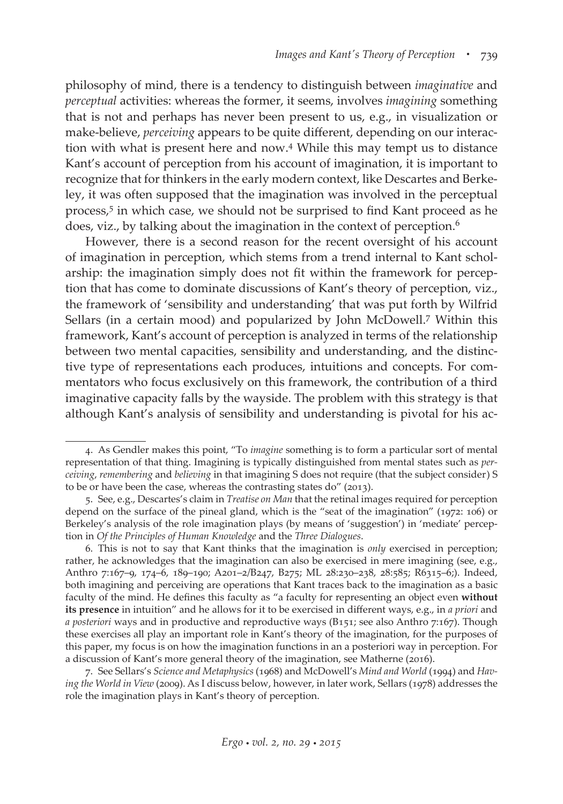philosophy of mind, there is a tendency to distinguish between *imaginative* and *perceptual* activities: whereas the former, it seems, involves *imagining* something that is not and perhaps has never been present to us, e.g., in visualization or make-believe, *perceiving* appears to be quite different, depending on our interaction with what is present here and now.4 While this may tempt us to distance Kant's account of perception from his account of imagination, it is important to recognize that for thinkers in the early modern context, like Descartes and Berkeley, it was often supposed that the imagination was involved in the perceptual process,<sup>5</sup> in which case, we should not be surprised to find Kant proceed as he does, viz., by talking about the imagination in the context of perception.<sup>6</sup>

However, there is a second reason for the recent oversight of his account of imagination in perception, which stems from a trend internal to Kant scholarship: the imagination simply does not fit within the framework for perception that has come to dominate discussions of Kant's theory of perception, viz., the framework of 'sensibility and understanding' that was put forth by Wilfrid Sellars (in a certain mood) and popularized by John McDowell.7 Within this framework, Kant's account of perception is analyzed in terms of the relationship between two mental capacities, sensibility and understanding, and the distinctive type of representations each produces, intuitions and concepts. For commentators who focus exclusively on this framework, the contribution of a third imaginative capacity falls by the wayside. The problem with this strategy is that although Kant's analysis of sensibility and understanding is pivotal for his ac-

<sup>4.</sup> As Gendler makes this point, "To *imagine* something is to form a particular sort of mental representation of that thing. Imagining is typically distinguished from mental states such as *perceiving*, *remembering* and *believing* in that imagining S does not require (that the subject consider) S to be or have been the case, whereas the contrasting states do" (2013).

<sup>5.</sup> See, e.g., Descartes's claim in *Treatise on Man* that the retinal images required for perception depend on the surface of the pineal gland, which is the "seat of the imagination" (1972: 106) or Berkeley's analysis of the role imagination plays (by means of 'suggestion') in 'mediate' perception in *Of the Principles of Human Knowledge* and the *Three Dialogues*.

<sup>6.</sup> This is not to say that Kant thinks that the imagination is *only* exercised in perception; rather, he acknowledges that the imagination can also be exercised in mere imagining (see, e.g., Anthro 7:167–9, 174–6, 189–190; A201–2/B247, B275; ML 28:230–238, 28:585; R6315–6;). Indeed, both imagining and perceiving are operations that Kant traces back to the imagination as a basic faculty of the mind. He defines this faculty as "a faculty for representing an object even **without its presence** in intuition" and he allows for it to be exercised in different ways, e.g., in *a priori* and *a posteriori* ways and in productive and reproductive ways (B151; see also Anthro 7:167). Though these exercises all play an important role in Kant's theory of the imagination, for the purposes of this paper, my focus is on how the imagination functions in an a posteriori way in perception. For a discussion of Kant's more general theory of the imagination, see Matherne (2016).

<sup>7.</sup> See Sellars's *Science and Metaphysics* (1968) and McDowell's *Mind and World* (1994) and *Having the World in View* (2009). As I discuss below, however, in later work, Sellars (1978) addresses the role the imagination plays in Kant's theory of perception.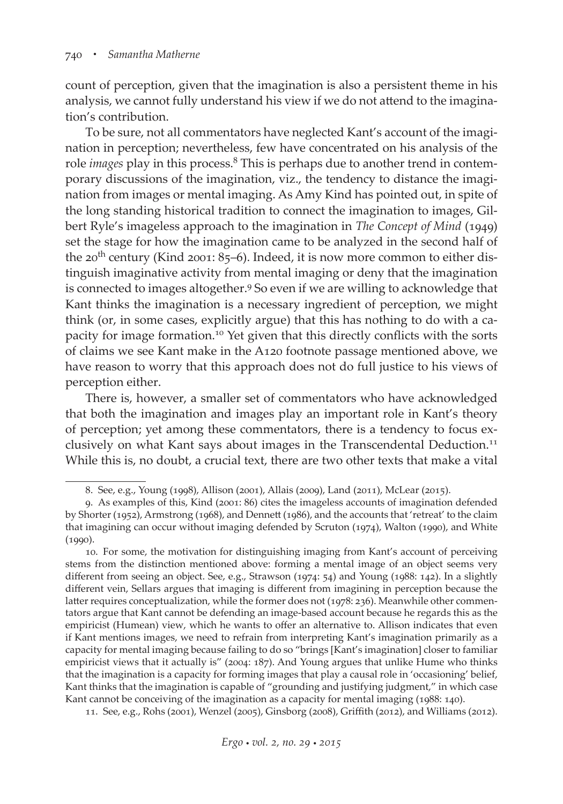count of perception, given that the imagination is also a persistent theme in his analysis, we cannot fully understand his view if we do not attend to the imagination's contribution.

To be sure, not all commentators have neglected Kant's account of the imagination in perception; nevertheless, few have concentrated on his analysis of the role *images* play in this process.<sup>8</sup> This is perhaps due to another trend in contemporary discussions of the imagination, viz., the tendency to distance the imagination from images or mental imaging. As Amy Kind has pointed out, in spite of the long standing historical tradition to connect the imagination to images, Gilbert Ryle's imageless approach to the imagination in *The Concept of Mind* (1949) set the stage for how the imagination came to be analyzed in the second half of the  $20^{th}$  century (Kind  $2001: 85-6$ ). Indeed, it is now more common to either distinguish imaginative activity from mental imaging or deny that the imagination is connected to images altogether.<sup>9</sup> So even if we are willing to acknowledge that Kant thinks the imagination is a necessary ingredient of perception, we might think (or, in some cases, explicitly argue) that this has nothing to do with a capacity for image formation.10 Yet given that this directly conflicts with the sorts of claims we see Kant make in the A120 footnote passage mentioned above, we have reason to worry that this approach does not do full justice to his views of perception either.

There is, however, a smaller set of commentators who have acknowledged that both the imagination and images play an important role in Kant's theory of perception; yet among these commentators, there is a tendency to focus exclusively on what Kant says about images in the Transcendental Deduction.<sup>11</sup> While this is, no doubt, a crucial text, there are two other texts that make a vital

<sup>8.</sup> See, e.g., Young (1998), Allison (2001), Allais (2009), Land (2011), McLear (2015).

<sup>9.</sup> As examples of this, Kind (2001: 86) cites the imageless accounts of imagination defended by Shorter (1952), Armstrong (1968), and Dennett (1986), and the accounts that 'retreat' to the claim that imagining can occur without imaging defended by Scruton (1974), Walton (1990), and White (1990).

<sup>10.</sup> For some, the motivation for distinguishing imaging from Kant's account of perceiving stems from the distinction mentioned above: forming a mental image of an object seems very different from seeing an object. See, e.g., Strawson (1974: 54) and Young (1988: 142). In a slightly different vein, Sellars argues that imaging is different from imagining in perception because the latter requires conceptualization, while the former does not (1978: 236). Meanwhile other commentators argue that Kant cannot be defending an image-based account because he regards this as the empiricist (Humean) view, which he wants to offer an alternative to. Allison indicates that even if Kant mentions images, we need to refrain from interpreting Kant's imagination primarily as a capacity for mental imaging because failing to do so "brings [Kant's imagination] closer to familiar empiricist views that it actually is" (2004: 187). And Young argues that unlike Hume who thinks that the imagination is a capacity for forming images that play a causal role in 'occasioning' belief, Kant thinks that the imagination is capable of "grounding and justifying judgment," in which case Kant cannot be conceiving of the imagination as a capacity for mental imaging (1988: 140).

<sup>11.</sup> See, e.g., Rohs (2001), Wenzel (2005), Ginsborg (2008), Griffith (2012), and Williams (2012).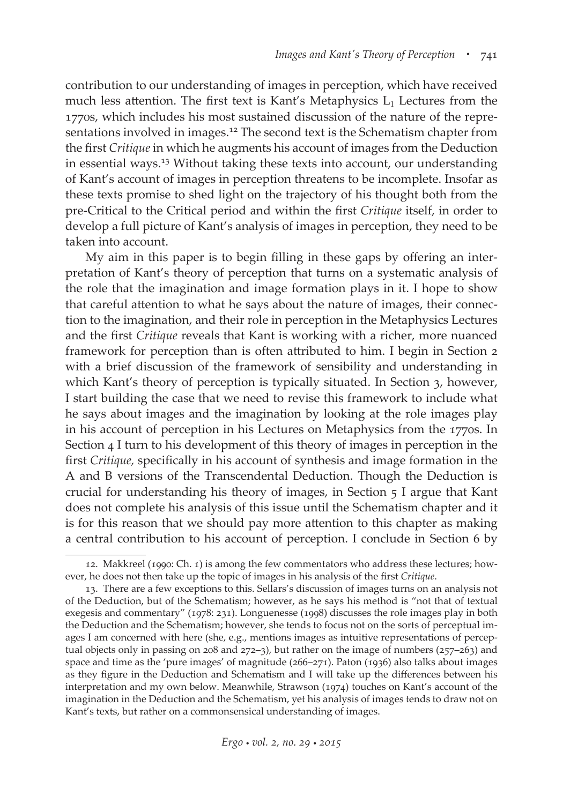contribution to our understanding of images in perception, which have received much less attention. The first text is Kant's Metaphysics  $L_1$  Lectures from the 1770s, which includes his most sustained discussion of the nature of the representations involved in images.12 The second text is the Schematism chapter from the first *Critique* in which he augments his account of images from the Deduction in essential ways.13 Without taking these texts into account, our understanding of Kant's account of images in perception threatens to be incomplete. Insofar as these texts promise to shed light on the trajectory of his thought both from the pre-Critical to the Critical period and within the first *Critique* itself, in order to develop a full picture of Kant's analysis of images in perception, they need to be taken into account.

My aim in this paper is to begin filling in these gaps by offering an interpretation of Kant's theory of perception that turns on a systematic analysis of the role that the imagination and image formation plays in it. I hope to show that careful attention to what he says about the nature of images, their connection to the imagination, and their role in perception in the Metaphysics Lectures and the first *Critique* reveals that Kant is working with a richer, more nuanced framework for perception than is often attributed to him. I begin in Section 2 with a brief discussion of the framework of sensibility and understanding in which Kant's theory of perception is typically situated. In Section 3, however, I start building the case that we need to revise this framework to include what he says about images and the imagination by looking at the role images play in his account of perception in his Lectures on Metaphysics from the 1770s. In Section 4 I turn to his development of this theory of images in perception in the first *Critique,* specifically in his account of synthesis and image formation in the A and B versions of the Transcendental Deduction. Though the Deduction is crucial for understanding his theory of images, in Section 5 I argue that Kant does not complete his analysis of this issue until the Schematism chapter and it is for this reason that we should pay more attention to this chapter as making a central contribution to his account of perception. I conclude in Section 6 by

<sup>12.</sup> Makkreel (1990: Ch. 1) is among the few commentators who address these lectures; however, he does not then take up the topic of images in his analysis of the first *Critique*.

<sup>13.</sup> There are a few exceptions to this. Sellars's discussion of images turns on an analysis not of the Deduction, but of the Schematism; however, as he says his method is "not that of textual exegesis and commentary" (1978: 231). Longuenesse (1998) discusses the role images play in both the Deduction and the Schematism; however, she tends to focus not on the sorts of perceptual images I am concerned with here (she, e.g., mentions images as intuitive representations of perceptual objects only in passing on 208 and 272–3), but rather on the image of numbers (257–263) and space and time as the 'pure images' of magnitude (266–271). Paton (1936) also talks about images as they figure in the Deduction and Schematism and I will take up the differences between his interpretation and my own below. Meanwhile, Strawson (1974) touches on Kant's account of the imagination in the Deduction and the Schematism, yet his analysis of images tends to draw not on Kant's texts, but rather on a commonsensical understanding of images.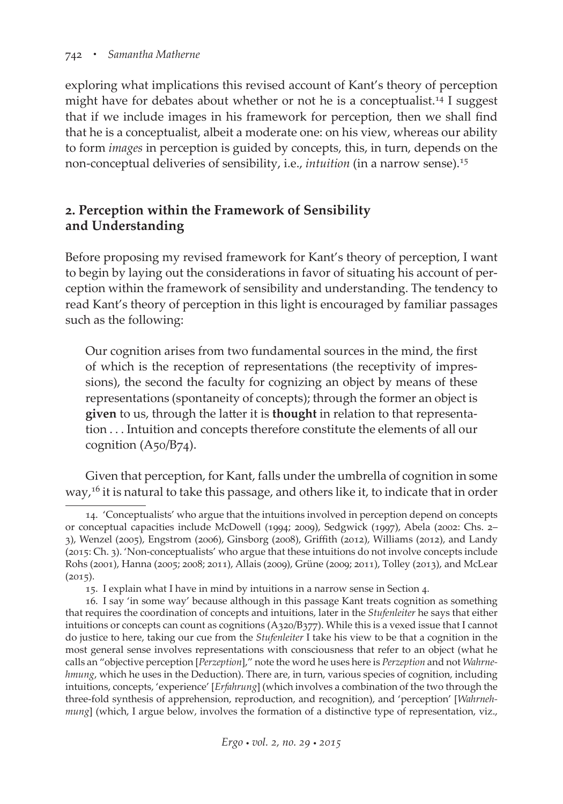exploring what implications this revised account of Kant's theory of perception might have for debates about whether or not he is a conceptualist.<sup>14</sup> I suggest that if we include images in his framework for perception, then we shall find that he is a conceptualist, albeit a moderate one: on his view, whereas our ability to form *images* in perception is guided by concepts, this, in turn, depends on the non-conceptual deliveries of sensibility, i.e., *intuition* (in a narrow sense).15

# **2. Perception within the Framework of Sensibility and Understanding**

Before proposing my revised framework for Kant's theory of perception, I want to begin by laying out the considerations in favor of situating his account of perception within the framework of sensibility and understanding. The tendency to read Kant's theory of perception in this light is encouraged by familiar passages such as the following:

Our cognition arises from two fundamental sources in the mind, the first of which is the reception of representations (the receptivity of impressions), the second the faculty for cognizing an object by means of these representations (spontaneity of concepts); through the former an object is **given** to us, through the latter it is **thought** in relation to that representation . . . Intuition and concepts therefore constitute the elements of all our cognition (A50/B74).

Given that perception, for Kant, falls under the umbrella of cognition in some way,<sup>16</sup> it is natural to take this passage, and others like it, to indicate that in order

<sup>14. &#</sup>x27;Conceptualists' who argue that the intuitions involved in perception depend on concepts or conceptual capacities include McDowell (1994; 2009), Sedgwick (1997), Abela (2002: Chs. 2– 3), Wenzel (2005), Engstrom (2006), Ginsborg (2008), Griffith (2012), Williams (2012), and Landy (2015: Ch. 3). 'Non-conceptualists' who argue that these intuitions do not involve concepts include Rohs (2001), Hanna (2005; 2008; 2011), Allais (2009), Grüne (2009; 2011), Tolley (2013), and McLear  $(2015).$ 

<sup>15.</sup> I explain what I have in mind by intuitions in a narrow sense in Section 4.

<sup>16.</sup> I say 'in some way' because although in this passage Kant treats cognition as something that requires the coordination of concepts and intuitions, later in the *Stufenleiter* he says that either intuitions or concepts can count as cognitions (A320/B377). While this is a vexed issue that I cannot do justice to here, taking our cue from the *Stufenleiter* I take his view to be that a cognition in the most general sense involves representations with consciousness that refer to an object (what he calls an "objective perception [*Perzeption*]," note the word he uses here is *Perzeption* and not *Wahrnehmung*, which he uses in the Deduction). There are, in turn, various species of cognition, including intuitions, concepts, 'experience' [*Erfahrung*] (which involves a combination of the two through the three-fold synthesis of apprehension, reproduction, and recognition), and 'perception' [*Wahrnehmung*] (which, I argue below, involves the formation of a distinctive type of representation, viz.,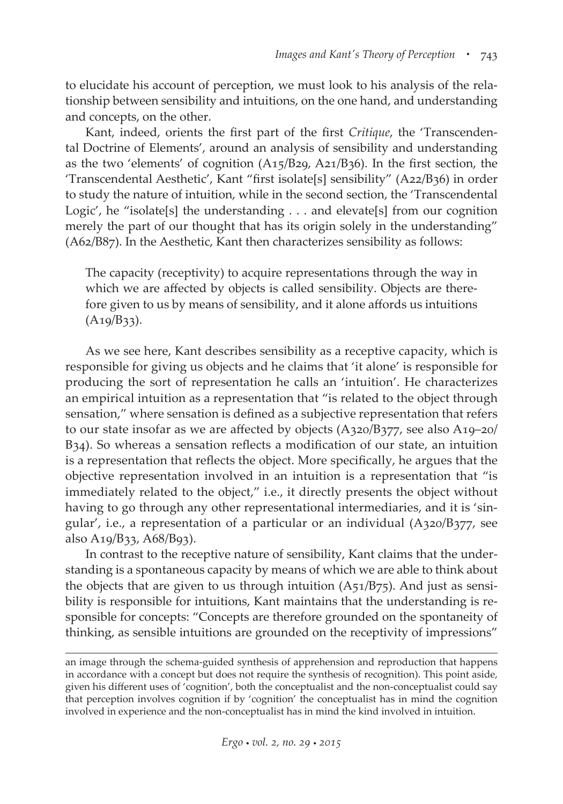to elucidate his account of perception, we must look to his analysis of the relationship between sensibility and intuitions, on the one hand, and understanding and concepts, on the other.

Kant, indeed, orients the first part of the first *Critique*, the 'Transcendental Doctrine of Elements', around an analysis of sensibility and understanding as the two 'elements' of cognition (A15/B29, A21/B36). In the first section, the 'Transcendental Aesthetic', Kant "first isolate[s] sensibility" (A22/B36) in order to study the nature of intuition, while in the second section, the 'Transcendental Logic', he "isolate[s] the understanding  $\ldots$  and elevate[s] from our cognition merely the part of our thought that has its origin solely in the understanding" (A62/B87). In the Aesthetic, Kant then characterizes sensibility as follows:

The capacity (receptivity) to acquire representations through the way in which we are affected by objects is called sensibility. Objects are therefore given to us by means of sensibility, and it alone affords us intuitions  $(A19/B33).$ 

As we see here, Kant describes sensibility as a receptive capacity, which is responsible for giving us objects and he claims that 'it alone' is responsible for producing the sort of representation he calls an 'intuition'. He characterizes an empirical intuition as a representation that "is related to the object through sensation," where sensation is defined as a subjective representation that refers to our state insofar as we are affected by objects (A320/B377, see also A19–20/ B34). So whereas a sensation reflects a modification of our state, an intuition is a representation that reflects the object. More specifically, he argues that the objective representation involved in an intuition is a representation that "is immediately related to the object," i.e., it directly presents the object without having to go through any other representational intermediaries, and it is 'singular', i.e., a representation of a particular or an individual (A320/B377, see also A19/B33, A68/B93).

In contrast to the receptive nature of sensibility, Kant claims that the understanding is a spontaneous capacity by means of which we are able to think about the objects that are given to us through intuition (A51/B75). And just as sensibility is responsible for intuitions, Kant maintains that the understanding is responsible for concepts: "Concepts are therefore grounded on the spontaneity of thinking, as sensible intuitions are grounded on the receptivity of impressions"

an image through the schema-guided synthesis of apprehension and reproduction that happens in accordance with a concept but does not require the synthesis of recognition). This point aside, given his different uses of 'cognition', both the conceptualist and the non-conceptualist could say that perception involves cognition if by 'cognition' the conceptualist has in mind the cognition involved in experience and the non-conceptualist has in mind the kind involved in intuition.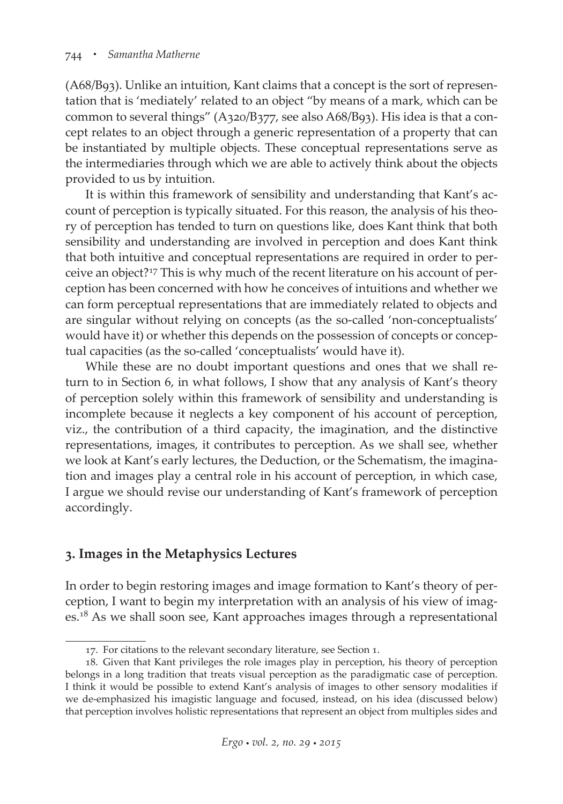(A68/B93). Unlike an intuition, Kant claims that a concept is the sort of representation that is 'mediately' related to an object "by means of a mark, which can be common to several things" (A320/B377, see also A68/B93). His idea is that a concept relates to an object through a generic representation of a property that can be instantiated by multiple objects. These conceptual representations serve as the intermediaries through which we are able to actively think about the objects provided to us by intuition.

It is within this framework of sensibility and understanding that Kant's account of perception is typically situated. For this reason, the analysis of his theory of perception has tended to turn on questions like, does Kant think that both sensibility and understanding are involved in perception and does Kant think that both intuitive and conceptual representations are required in order to perceive an object?17 This is why much of the recent literature on his account of perception has been concerned with how he conceives of intuitions and whether we can form perceptual representations that are immediately related to objects and are singular without relying on concepts (as the so-called 'non-conceptualists' would have it) or whether this depends on the possession of concepts or conceptual capacities (as the so-called 'conceptualists' would have it).

While these are no doubt important questions and ones that we shall return to in Section 6, in what follows, I show that any analysis of Kant's theory of perception solely within this framework of sensibility and understanding is incomplete because it neglects a key component of his account of perception, viz., the contribution of a third capacity, the imagination, and the distinctive representations, images, it contributes to perception. As we shall see, whether we look at Kant's early lectures, the Deduction, or the Schematism, the imagination and images play a central role in his account of perception, in which case, I argue we should revise our understanding of Kant's framework of perception accordingly.

## **3. Images in the Metaphysics Lectures**

In order to begin restoring images and image formation to Kant's theory of perception, I want to begin my interpretation with an analysis of his view of images.<sup>18</sup> As we shall soon see, Kant approaches images through a representational

<sup>17.</sup> For citations to the relevant secondary literature, see Section 1.

<sup>18.</sup> Given that Kant privileges the role images play in perception, his theory of perception belongs in a long tradition that treats visual perception as the paradigmatic case of perception. I think it would be possible to extend Kant's analysis of images to other sensory modalities if we de-emphasized his imagistic language and focused, instead, on his idea (discussed below) that perception involves holistic representations that represent an object from multiples sides and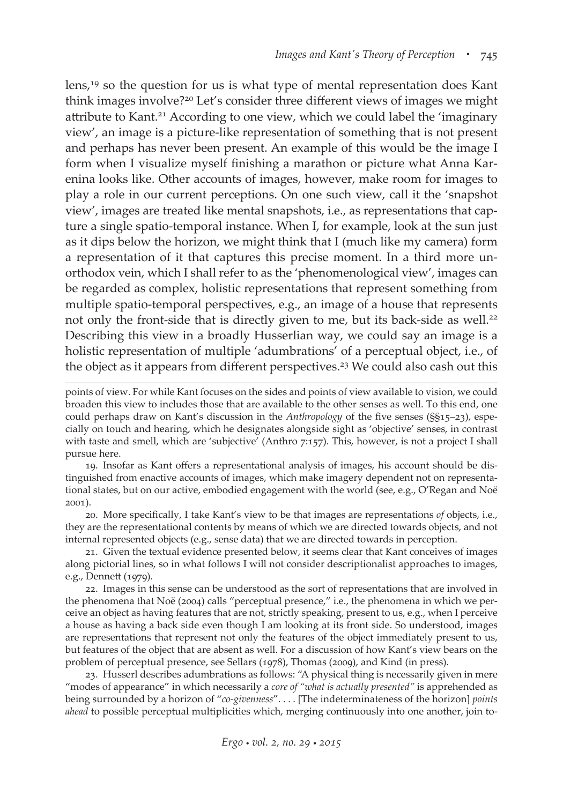lens,19 so the question for us is what type of mental representation does Kant think images involve?20 Let's consider three different views of images we might attribute to Kant.<sup>21</sup> According to one view, which we could label the 'imaginary view', an image is a picture-like representation of something that is not present and perhaps has never been present. An example of this would be the image I form when I visualize myself finishing a marathon or picture what Anna Karenina looks like. Other accounts of images, however, make room for images to play a role in our current perceptions. On one such view, call it the 'snapshot view', images are treated like mental snapshots, i.e., as representations that capture a single spatio-temporal instance. When I, for example, look at the sun just as it dips below the horizon, we might think that I (much like my camera) form a representation of it that captures this precise moment. In a third more unorthodox vein, which I shall refer to as the 'phenomenological view', images can be regarded as complex, holistic representations that represent something from multiple spatio-temporal perspectives, e.g., an image of a house that represents not only the front-side that is directly given to me, but its back-side as well.<sup>22</sup> Describing this view in a broadly Husserlian way, we could say an image is a holistic representation of multiple 'adumbrations' of a perceptual object, i.e., of the object as it appears from different perspectives.<sup>23</sup> We could also cash out this

19. Insofar as Kant offers a representational analysis of images, his account should be distinguished from enactive accounts of images, which make imagery dependent not on representational states, but on our active, embodied engagement with the world (see, e.g., O'Regan and Noë 2001).

20. More specifically, I take Kant's view to be that images are representations *of* objects, i.e., they are the representational contents by means of which we are directed towards objects, and not internal represented objects (e.g., sense data) that we are directed towards in perception.

21. Given the textual evidence presented below, it seems clear that Kant conceives of images along pictorial lines, so in what follows I will not consider descriptionalist approaches to images, e.g., Dennett (1979).

22. Images in this sense can be understood as the sort of representations that are involved in the phenomena that Noë (2004) calls "perceptual presence," i.e., the phenomena in which we perceive an object as having features that are not, strictly speaking, present to us, e.g., when I perceive a house as having a back side even though I am looking at its front side. So understood, images are representations that represent not only the features of the object immediately present to us, but features of the object that are absent as well. For a discussion of how Kant's view bears on the problem of perceptual presence, see Sellars (1978), Thomas (2009), and Kind (in press).

23. Husserl describes adumbrations as follows: "A physical thing is necessarily given in mere "modes of appearance" in which necessarily a *core of "what is actually presented"* is apprehended as being surrounded by a horizon of "*co-givenness*". . . . [The indeterminateness of the horizon] *points ahead* to possible perceptual multiplicities which, merging continuously into one another, join to-

points of view. For while Kant focuses on the sides and points of view available to vision, we could broaden this view to includes those that are available to the other senses as well. To this end, one could perhaps draw on Kant's discussion in the *Anthropology* of the five senses (§§15–23), especially on touch and hearing, which he designates alongside sight as 'objective' senses, in contrast with taste and smell, which are 'subjective' (Anthro 7:157). This, however, is not a project I shall pursue here.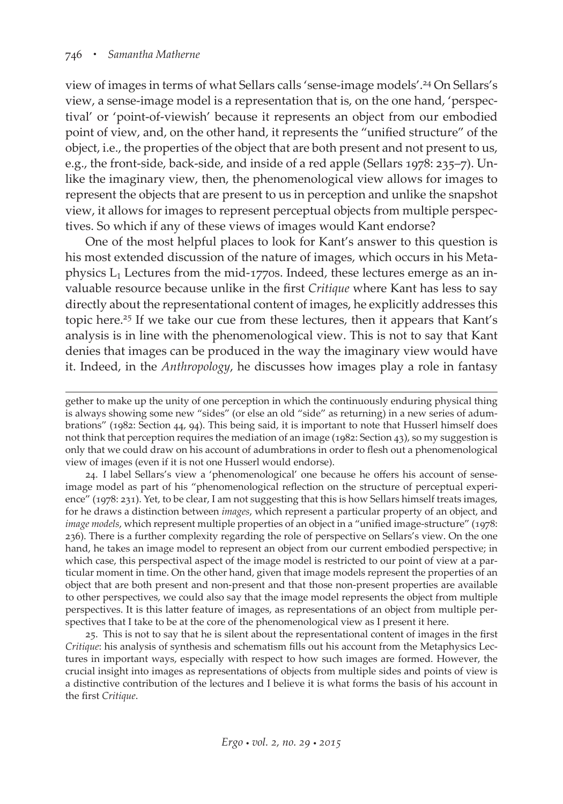view of images in terms of what Sellars calls 'sense-image models'.24 On Sellars's view, a sense-image model is a representation that is, on the one hand, 'perspectival' or 'point-of-viewish' because it represents an object from our embodied point of view, and, on the other hand, it represents the "unified structure" of the object, i.e., the properties of the object that are both present and not present to us, e.g., the front-side, back-side, and inside of a red apple (Sellars 1978: 235–7). Unlike the imaginary view, then, the phenomenological view allows for images to represent the objects that are present to us in perception and unlike the snapshot view, it allows for images to represent perceptual objects from multiple perspectives. So which if any of these views of images would Kant endorse?

One of the most helpful places to look for Kant's answer to this question is his most extended discussion of the nature of images, which occurs in his Metaphysics  $L_1$  Lectures from the mid-1770s. Indeed, these lectures emerge as an invaluable resource because unlike in the first *Critique* where Kant has less to say directly about the representational content of images, he explicitly addresses this topic here.25 If we take our cue from these lectures, then it appears that Kant's analysis is in line with the phenomenological view. This is not to say that Kant denies that images can be produced in the way the imaginary view would have it. Indeed, in the *Anthropology*, he discusses how images play a role in fantasy

24. I label Sellars's view a 'phenomenological' one because he offers his account of senseimage model as part of his "phenomenological reflection on the structure of perceptual experience" (1978: 231). Yet, to be clear, I am not suggesting that this is how Sellars himself treats images, for he draws a distinction between *images*, which represent a particular property of an object, and *image models*, which represent multiple properties of an object in a "unified image-structure" (1978: 236). There is a further complexity regarding the role of perspective on Sellars's view. On the one hand, he takes an image model to represent an object from our current embodied perspective; in which case, this perspectival aspect of the image model is restricted to our point of view at a particular moment in time. On the other hand, given that image models represent the properties of an object that are both present and non-present and that those non-present properties are available to other perspectives, we could also say that the image model represents the object from multiple perspectives. It is this latter feature of images, as representations of an object from multiple perspectives that I take to be at the core of the phenomenological view as I present it here.

25. This is not to say that he is silent about the representational content of images in the first *Critique*: his analysis of synthesis and schematism fills out his account from the Metaphysics Lectures in important ways, especially with respect to how such images are formed. However, the crucial insight into images as representations of objects from multiple sides and points of view is a distinctive contribution of the lectures and I believe it is what forms the basis of his account in the first *Critique*.

gether to make up the unity of one perception in which the continuously enduring physical thing is always showing some new "sides" (or else an old "side" as returning) in a new series of adumbrations" (1982: Section 44, 94). This being said, it is important to note that Husserl himself does not think that perception requires the mediation of an image (1982: Section 43), so my suggestion is only that we could draw on his account of adumbrations in order to flesh out a phenomenological view of images (even if it is not one Husserl would endorse).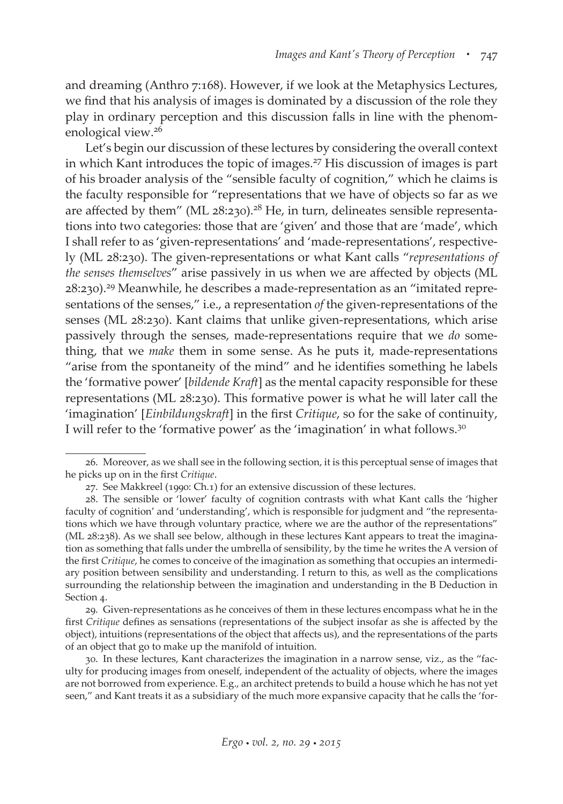and dreaming (Anthro 7:168). However, if we look at the Metaphysics Lectures, we find that his analysis of images is dominated by a discussion of the role they play in ordinary perception and this discussion falls in line with the phenomenological view.26

Let's begin our discussion of these lectures by considering the overall context in which Kant introduces the topic of images.<sup>27</sup> His discussion of images is part of his broader analysis of the "sensible faculty of cognition," which he claims is the faculty responsible for "representations that we have of objects so far as we are affected by them" (ML  $28:230$ ).<sup>28</sup> He, in turn, delineates sensible representations into two categories: those that are 'given' and those that are 'made', which I shall refer to as 'given-representations' and 'made-representations', respectively (ML 28:230). The given-representations or what Kant calls "*representations of the senses themselves*" arise passively in us when we are affected by objects (ML 28:230).29 Meanwhile, he describes a made-representation as an "imitated representations of the senses," i.e., a representation *of* the given-representations of the senses (ML 28:230). Kant claims that unlike given-representations, which arise passively through the senses, made-representations require that we *do* something, that we *make* them in some sense. As he puts it, made-representations "arise from the spontaneity of the mind" and he identifies something he labels the 'formative power' [*bildende Kraft*] as the mental capacity responsible for these representations (ML 28:230). This formative power is what he will later call the 'imagination' [*Einbildungskraft*] in the first *Critique*, so for the sake of continuity, I will refer to the 'formative power' as the 'imagination' in what follows.<sup>30</sup>

29. Given-representations as he conceives of them in these lectures encompass what he in the first *Critique* defines as sensations (representations of the subject insofar as she is affected by the object), intuitions (representations of the object that affects us), and the representations of the parts of an object that go to make up the manifold of intuition.

30. In these lectures, Kant characterizes the imagination in a narrow sense, viz., as the "faculty for producing images from oneself, independent of the actuality of objects, where the images are not borrowed from experience. E.g., an architect pretends to build a house which he has not yet seen," and Kant treats it as a subsidiary of the much more expansive capacity that he calls the 'for-

<sup>26.</sup> Moreover, as we shall see in the following section, it is this perceptual sense of images that he picks up on in the first *Critique*.

<sup>27.</sup> See Makkreel (1990: Ch.1) for an extensive discussion of these lectures.

<sup>28.</sup> The sensible or 'lower' faculty of cognition contrasts with what Kant calls the 'higher faculty of cognition' and 'understanding', which is responsible for judgment and "the representations which we have through voluntary practice, where we are the author of the representations" (ML 28:238). As we shall see below, although in these lectures Kant appears to treat the imagination as something that falls under the umbrella of sensibility, by the time he writes the A version of the first *Critique*, he comes to conceive of the imagination as something that occupies an intermediary position between sensibility and understanding. I return to this, as well as the complications surrounding the relationship between the imagination and understanding in the B Deduction in Section 4.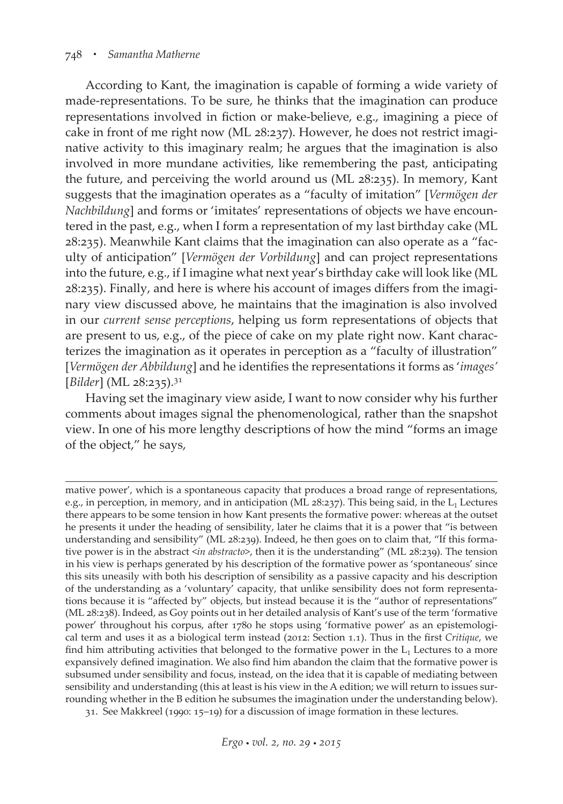According to Kant, the imagination is capable of forming a wide variety of made-representations. To be sure, he thinks that the imagination can produce representations involved in fiction or make-believe, e.g., imagining a piece of cake in front of me right now (ML 28:237). However, he does not restrict imaginative activity to this imaginary realm; he argues that the imagination is also involved in more mundane activities, like remembering the past, anticipating the future, and perceiving the world around us (ML 28:235). In memory, Kant suggests that the imagination operates as a "faculty of imitation" [*Vermögen der Nachbildung*] and forms or 'imitates' representations of objects we have encountered in the past, e.g., when I form a representation of my last birthday cake (ML 28:235). Meanwhile Kant claims that the imagination can also operate as a "faculty of anticipation" [*Vermögen der Vorbildung*] and can project representations into the future, e.g., if I imagine what next year's birthday cake will look like (ML 28:235). Finally, and here is where his account of images differs from the imaginary view discussed above, he maintains that the imagination is also involved in our *current sense perceptions*, helping us form representations of objects that are present to us, e.g., of the piece of cake on my plate right now. Kant characterizes the imagination as it operates in perception as a "faculty of illustration" [*Vermögen der Abbildung*] and he identifies the representations it forms as '*images'* [*Bilder*] (ML 28:235).<sup>31</sup>

Having set the imaginary view aside, I want to now consider why his further comments about images signal the phenomenological, rather than the snapshot view. In one of his more lengthy descriptions of how the mind "forms an image of the object," he says,

31. See Makkreel (1990: 15–19) for a discussion of image formation in these lectures.

mative power', which is a spontaneous capacity that produces a broad range of representations, e.g., in perception, in memory, and in anticipation (ML 28:237). This being said, in the  $L_1$  Lectures there appears to be some tension in how Kant presents the formative power: whereas at the outset he presents it under the heading of sensibility, later he claims that it is a power that "is between understanding and sensibility" (ML 28:239). Indeed, he then goes on to claim that, "If this formative power is in the abstract <*in abstracto*>, then it is the understanding" (ML 28:239). The tension in his view is perhaps generated by his description of the formative power as 'spontaneous' since this sits uneasily with both his description of sensibility as a passive capacity and his description of the understanding as a 'voluntary' capacity, that unlike sensibility does not form representations because it is "affected by" objects, but instead because it is the "author of representations" (ML 28:238). Indeed, as Goy points out in her detailed analysis of Kant's use of the term 'formative power' throughout his corpus, after 1780 he stops using 'formative power' as an epistemological term and uses it as a biological term instead (2012: Section 1.1). Thus in the first *Critique*, we find him attributing activities that belonged to the formative power in the  $L_1$  Lectures to a more expansively defined imagination. We also find him abandon the claim that the formative power is subsumed under sensibility and focus, instead, on the idea that it is capable of mediating between sensibility and understanding (this at least is his view in the A edition; we will return to issues surrounding whether in the B edition he subsumes the imagination under the understanding below).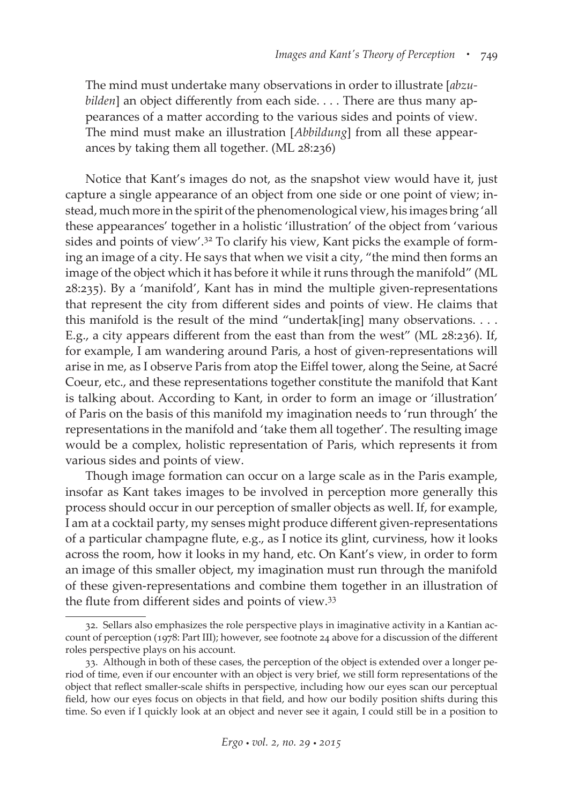The mind must undertake many observations in order to illustrate [*abzubilden*] an object differently from each side. . . . There are thus many appearances of a matter according to the various sides and points of view. The mind must make an illustration [*Abbildung*] from all these appearances by taking them all together. (ML 28:236)

Notice that Kant's images do not, as the snapshot view would have it, just capture a single appearance of an object from one side or one point of view; instead, much more in the spirit of the phenomenological view, his images bring 'all these appearances' together in a holistic 'illustration' of the object from 'various sides and points of view'.<sup>32</sup> To clarify his view, Kant picks the example of forming an image of a city. He says that when we visit a city, "the mind then forms an image of the object which it has before it while it runs through the manifold" (ML 28:235). By a 'manifold', Kant has in mind the multiple given-representations that represent the city from different sides and points of view. He claims that this manifold is the result of the mind "undertak[ing] many observations. . . . E.g., a city appears different from the east than from the west" (ML 28:236). If, for example, I am wandering around Paris, a host of given-representations will arise in me, as I observe Paris from atop the Eiffel tower, along the Seine, at Sacré Coeur, etc., and these representations together constitute the manifold that Kant is talking about. According to Kant, in order to form an image or 'illustration' of Paris on the basis of this manifold my imagination needs to 'run through' the representations in the manifold and 'take them all together'. The resulting image would be a complex, holistic representation of Paris, which represents it from various sides and points of view.

Though image formation can occur on a large scale as in the Paris example, insofar as Kant takes images to be involved in perception more generally this process should occur in our perception of smaller objects as well. If, for example, I am at a cocktail party, my senses might produce different given-representations of a particular champagne flute, e.g., as I notice its glint, curviness, how it looks across the room, how it looks in my hand, etc. On Kant's view, in order to form an image of this smaller object, my imagination must run through the manifold of these given-representations and combine them together in an illustration of the flute from different sides and points of view.33

<sup>32.</sup> Sellars also emphasizes the role perspective plays in imaginative activity in a Kantian account of perception (1978: Part III); however, see footnote 24 above for a discussion of the different roles perspective plays on his account.

<sup>33.</sup> Although in both of these cases, the perception of the object is extended over a longer period of time, even if our encounter with an object is very brief, we still form representations of the object that reflect smaller-scale shifts in perspective, including how our eyes scan our perceptual field, how our eyes focus on objects in that field, and how our bodily position shifts during this time. So even if I quickly look at an object and never see it again, I could still be in a position to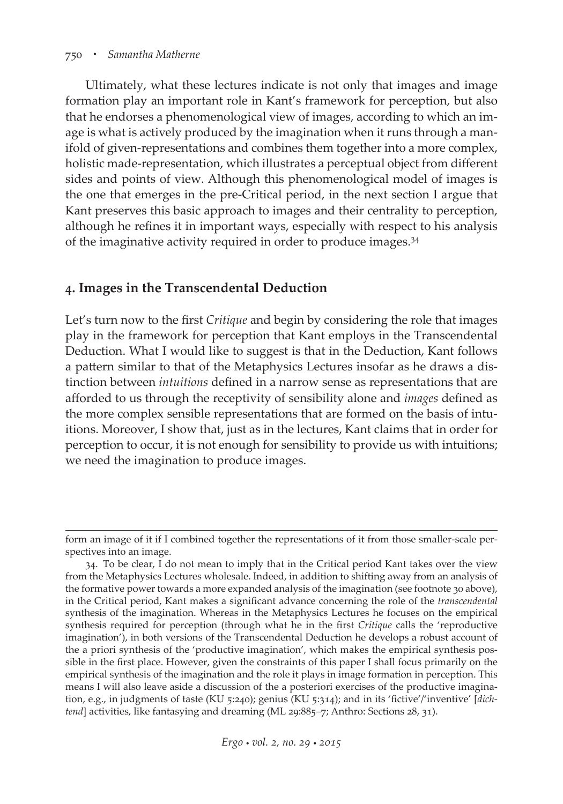#### 750 *• Samantha Matherne*

Ultimately, what these lectures indicate is not only that images and image formation play an important role in Kant's framework for perception, but also that he endorses a phenomenological view of images, according to which an image is what is actively produced by the imagination when it runs through a manifold of given-representations and combines them together into a more complex, holistic made-representation, which illustrates a perceptual object from different sides and points of view. Although this phenomenological model of images is the one that emerges in the pre-Critical period, in the next section I argue that Kant preserves this basic approach to images and their centrality to perception, although he refines it in important ways, especially with respect to his analysis of the imaginative activity required in order to produce images.34

## **4. Images in the Transcendental Deduction**

Let's turn now to the first *Critique* and begin by considering the role that images play in the framework for perception that Kant employs in the Transcendental Deduction. What I would like to suggest is that in the Deduction, Kant follows a pattern similar to that of the Metaphysics Lectures insofar as he draws a distinction between *intuitions* defined in a narrow sense as representations that are afforded to us through the receptivity of sensibility alone and *images* defined as the more complex sensible representations that are formed on the basis of intuitions. Moreover, I show that, just as in the lectures, Kant claims that in order for perception to occur, it is not enough for sensibility to provide us with intuitions; we need the imagination to produce images.

form an image of it if I combined together the representations of it from those smaller-scale perspectives into an image.

<sup>34.</sup> To be clear, I do not mean to imply that in the Critical period Kant takes over the view from the Metaphysics Lectures wholesale. Indeed, in addition to shifting away from an analysis of the formative power towards a more expanded analysis of the imagination (see footnote 30 above), in the Critical period, Kant makes a significant advance concerning the role of the *transcendental* synthesis of the imagination. Whereas in the Metaphysics Lectures he focuses on the empirical synthesis required for perception (through what he in the first *Critique* calls the 'reproductive imagination'), in both versions of the Transcendental Deduction he develops a robust account of the a priori synthesis of the 'productive imagination', which makes the empirical synthesis possible in the first place. However, given the constraints of this paper I shall focus primarily on the empirical synthesis of the imagination and the role it plays in image formation in perception. This means I will also leave aside a discussion of the a posteriori exercises of the productive imagination, e.g., in judgments of taste (KU 5:240); genius (KU 5:314); and in its 'fictive'/'inventive' [*dich*tend] activities, like fantasying and dreaming (ML 29:885-7; Anthro: Sections 28, 31).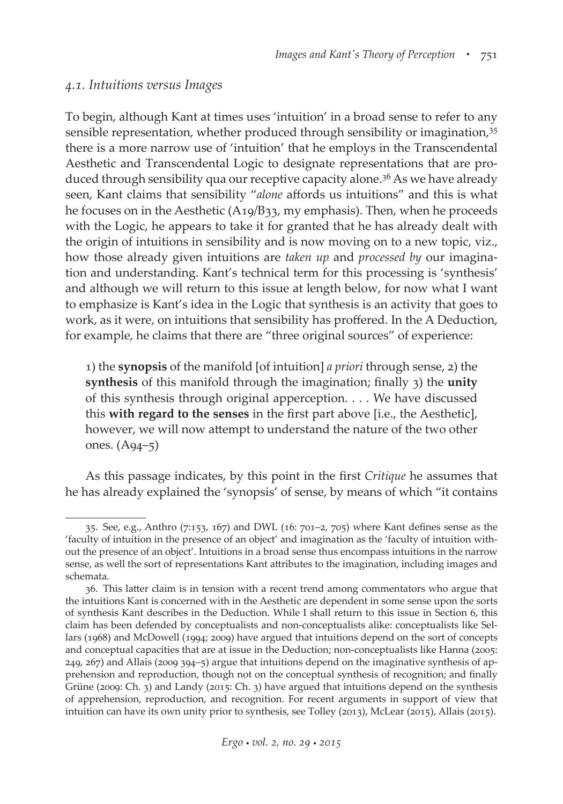#### *4.1. Intuitions versus Images*

To begin, although Kant at times uses 'intuition' in a broad sense to refer to any sensible representation, whether produced through sensibility or imagination, 35 there is a more narrow use of 'intuition' that he employs in the Transcendental Aesthetic and Transcendental Logic to designate representations that are produced through sensibility qua our receptive capacity alone.36 As we have already seen, Kant claims that sensibility "*alone* affords us intuitions" and this is what he focuses on in the Aesthetic (A19/B33, my emphasis). Then, when he proceeds with the Logic, he appears to take it for granted that he has already dealt with the origin of intuitions in sensibility and is now moving on to a new topic, viz., how those already given intuitions are *taken up* and *processed by* our imagination and understanding. Kant's technical term for this processing is 'synthesis' and although we will return to this issue at length below, for now what I want to emphasize is Kant's idea in the Logic that synthesis is an activity that goes to work, as it were, on intuitions that sensibility has proffered. In the A Deduction, for example, he claims that there are "three original sources" of experience:

1) the **synopsis** of the manifold [of intuition] *a priori* through sense, 2) the **synthesis** of this manifold through the imagination; finally 3) the **unity** of this synthesis through original apperception. . . . We have discussed this **with regard to the senses** in the first part above [i.e., the Aesthetic], however, we will now attempt to understand the nature of the two other ones. (A94–5)

As this passage indicates, by this point in the first *Critique* he assumes that he has already explained the 'synopsis' of sense, by means of which "it contains

<sup>35.</sup> See, e.g., Anthro (7:153, 167) and DWL (16: 701–2, 705) where Kant defines sense as the 'faculty of intuition in the presence of an object' and imagination as the 'faculty of intuition without the presence of an object'. Intuitions in a broad sense thus encompass intuitions in the narrow sense, as well the sort of representations Kant attributes to the imagination, including images and schemata.

<sup>36.</sup> This latter claim is in tension with a recent trend among commentators who argue that the intuitions Kant is concerned with in the Aesthetic are dependent in some sense upon the sorts of synthesis Kant describes in the Deduction. While I shall return to this issue in Section 6, this claim has been defended by conceptualists and non-conceptualists alike: conceptualists like Sellars (1968) and McDowell (1994; 2009) have argued that intuitions depend on the sort of concepts and conceptual capacities that are at issue in the Deduction; non-conceptualists like Hanna (2005: 249, 267) and Allais (2009 394–5) argue that intuitions depend on the imaginative synthesis of apprehension and reproduction, though not on the conceptual synthesis of recognition; and finally Grüne (2009: Ch. 3) and Landy (2015: Ch. 3) have argued that intuitions depend on the synthesis of apprehension, reproduction, and recognition. For recent arguments in support of view that intuition can have its own unity prior to synthesis, see Tolley (2013), McLear (2015), Allais (2015).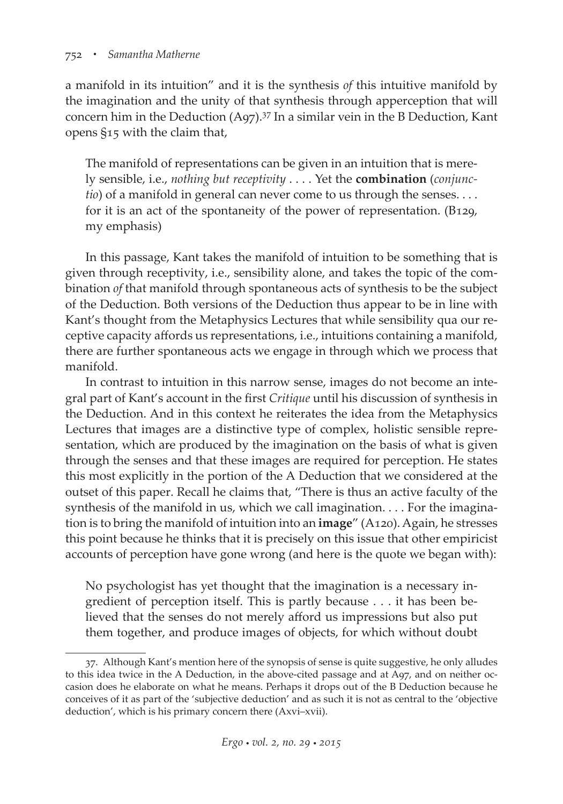a manifold in its intuition" and it is the synthesis *of* this intuitive manifold by the imagination and the unity of that synthesis through apperception that will concern him in the Deduction  $(Aq7)$ .<sup>37</sup> In a similar vein in the B Deduction, Kant opens §15 with the claim that,

The manifold of representations can be given in an intuition that is merely sensible, i.e., *nothing but receptivity* . . . . Yet the **combination** (*conjunctio*) of a manifold in general can never come to us through the senses. . . . for it is an act of the spontaneity of the power of representation. (B129, my emphasis)

In this passage, Kant takes the manifold of intuition to be something that is given through receptivity, i.e., sensibility alone, and takes the topic of the combination *of* that manifold through spontaneous acts of synthesis to be the subject of the Deduction. Both versions of the Deduction thus appear to be in line with Kant's thought from the Metaphysics Lectures that while sensibility qua our receptive capacity affords us representations, i.e., intuitions containing a manifold, there are further spontaneous acts we engage in through which we process that manifold.

In contrast to intuition in this narrow sense, images do not become an integral part of Kant's account in the first *Critique* until his discussion of synthesis in the Deduction. And in this context he reiterates the idea from the Metaphysics Lectures that images are a distinctive type of complex, holistic sensible representation, which are produced by the imagination on the basis of what is given through the senses and that these images are required for perception. He states this most explicitly in the portion of the A Deduction that we considered at the outset of this paper. Recall he claims that, "There is thus an active faculty of the synthesis of the manifold in us, which we call imagination. . . . For the imagination is to bring the manifold of intuition into an **image**" (A120). Again, he stresses this point because he thinks that it is precisely on this issue that other empiricist accounts of perception have gone wrong (and here is the quote we began with):

No psychologist has yet thought that the imagination is a necessary ingredient of perception itself. This is partly because . . . it has been believed that the senses do not merely afford us impressions but also put them together, and produce images of objects, for which without doubt

<sup>37.</sup> Although Kant's mention here of the synopsis of sense is quite suggestive, he only alludes to this idea twice in the A Deduction, in the above-cited passage and at A97, and on neither occasion does he elaborate on what he means. Perhaps it drops out of the B Deduction because he conceives of it as part of the 'subjective deduction' and as such it is not as central to the 'objective deduction', which is his primary concern there (Axvi–xvii).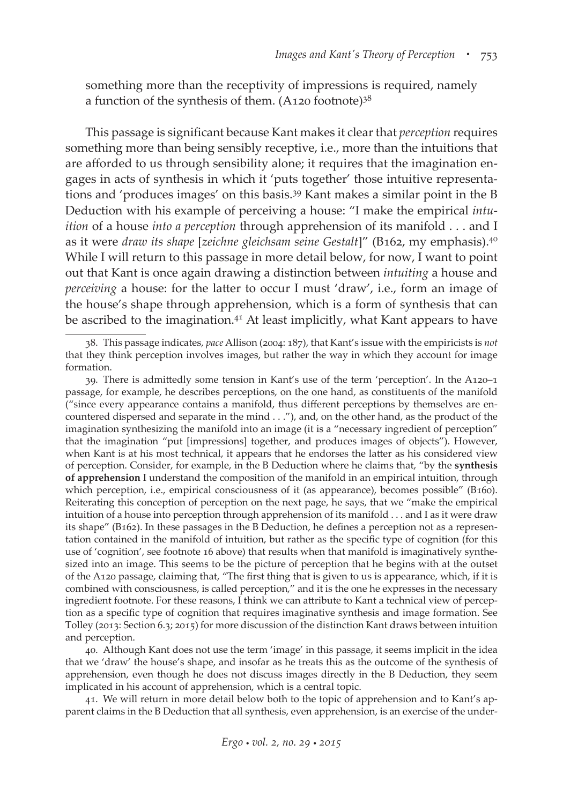something more than the receptivity of impressions is required, namely a function of the synthesis of them.  $(A120$  footnote)<sup>38</sup>

This passage is significant because Kant makes it clear that *perception* requires something more than being sensibly receptive, i.e., more than the intuitions that are afforded to us through sensibility alone; it requires that the imagination engages in acts of synthesis in which it 'puts together' those intuitive representations and 'produces images' on this basis.39 Kant makes a similar point in the B Deduction with his example of perceiving a house: "I make the empirical *intuition* of a house *into a perception* through apprehension of its manifold . . . and I as it were *draw its shape* [*zeichne gleichsam seine Gestalt*]" (B162, my emphasis).40 While I will return to this passage in more detail below, for now, I want to point out that Kant is once again drawing a distinction between *intuiting* a house and *perceiving* a house: for the latter to occur I must 'draw', i.e., form an image of the house's shape through apprehension, which is a form of synthesis that can be ascribed to the imagination.<sup>41</sup> At least implicitly, what Kant appears to have

41. We will return in more detail below both to the topic of apprehension and to Kant's apparent claims in the B Deduction that all synthesis, even apprehension, is an exercise of the under-

<sup>38.</sup> This passage indicates, *pace* Allison (2004: 187), that Kant's issue with the empiricists is *not* that they think perception involves images, but rather the way in which they account for image formation.

<sup>39.</sup> There is admittedly some tension in Kant's use of the term 'perception'. In the A120–1 passage, for example, he describes perceptions, on the one hand, as constituents of the manifold ("since every appearance contains a manifold, thus different perceptions by themselves are encountered dispersed and separate in the mind . . ."), and, on the other hand, as the product of the imagination synthesizing the manifold into an image (it is a "necessary ingredient of perception" that the imagination "put [impressions] together, and produces images of objects"). However, when Kant is at his most technical, it appears that he endorses the latter as his considered view of perception. Consider, for example, in the B Deduction where he claims that, "by the **synthesis of apprehension** I understand the composition of the manifold in an empirical intuition, through which perception, i.e., empirical consciousness of it (as appearance), becomes possible" (B160). Reiterating this conception of perception on the next page, he says, that we "make the empirical intuition of a house into perception through apprehension of its manifold . . . and I as it were draw its shape" (B162). In these passages in the B Deduction, he defines a perception not as a representation contained in the manifold of intuition, but rather as the specific type of cognition (for this use of 'cognition', see footnote 16 above) that results when that manifold is imaginatively synthesized into an image. This seems to be the picture of perception that he begins with at the outset of the A120 passage, claiming that, "The first thing that is given to us is appearance, which, if it is combined with consciousness, is called perception," and it is the one he expresses in the necessary ingredient footnote. For these reasons, I think we can attribute to Kant a technical view of perception as a specific type of cognition that requires imaginative synthesis and image formation. See Tolley (2013: Section 6.3; 2015) for more discussion of the distinction Kant draws between intuition and perception.

<sup>40.</sup> Although Kant does not use the term 'image' in this passage, it seems implicit in the idea that we 'draw' the house's shape, and insofar as he treats this as the outcome of the synthesis of apprehension, even though he does not discuss images directly in the B Deduction, they seem implicated in his account of apprehension, which is a central topic.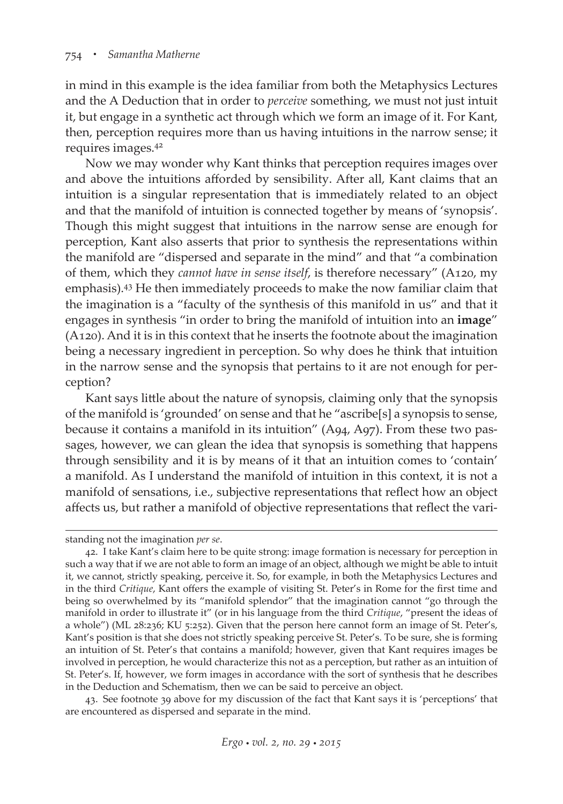in mind in this example is the idea familiar from both the Metaphysics Lectures and the A Deduction that in order to *perceive* something, we must not just intuit it, but engage in a synthetic act through which we form an image of it. For Kant, then, perception requires more than us having intuitions in the narrow sense; it requires images.42

Now we may wonder why Kant thinks that perception requires images over and above the intuitions afforded by sensibility. After all, Kant claims that an intuition is a singular representation that is immediately related to an object and that the manifold of intuition is connected together by means of 'synopsis'. Though this might suggest that intuitions in the narrow sense are enough for perception, Kant also asserts that prior to synthesis the representations within the manifold are "dispersed and separate in the mind" and that "a combination of them, which they *cannot have in sense itself*, is therefore necessary" (A120, my emphasis).43 He then immediately proceeds to make the now familiar claim that the imagination is a "faculty of the synthesis of this manifold in us" and that it engages in synthesis "in order to bring the manifold of intuition into an **image**" (A120). And it is in this context that he inserts the footnote about the imagination being a necessary ingredient in perception. So why does he think that intuition in the narrow sense and the synopsis that pertains to it are not enough for perception?

Kant says little about the nature of synopsis, claiming only that the synopsis of the manifold is 'grounded' on sense and that he "ascribe[s] a synopsis to sense, because it contains a manifold in its intuition" (A94, A97). From these two passages, however, we can glean the idea that synopsis is something that happens through sensibility and it is by means of it that an intuition comes to 'contain' a manifold. As I understand the manifold of intuition in this context, it is not a manifold of sensations, i.e., subjective representations that reflect how an object affects us, but rather a manifold of objective representations that reflect the vari-

43. See footnote 39 above for my discussion of the fact that Kant says it is 'perceptions' that are encountered as dispersed and separate in the mind.

standing not the imagination *per se*.

<sup>42.</sup> I take Kant's claim here to be quite strong: image formation is necessary for perception in such a way that if we are not able to form an image of an object, although we might be able to intuit it, we cannot, strictly speaking, perceive it. So, for example, in both the Metaphysics Lectures and in the third *Critique*, Kant offers the example of visiting St. Peter's in Rome for the first time and being so overwhelmed by its "manifold splendor" that the imagination cannot "go through the manifold in order to illustrate it" (or in his language from the third *Critique*, "present the ideas of a whole") (ML 28:236; KU 5:252). Given that the person here cannot form an image of St. Peter's, Kant's position is that she does not strictly speaking perceive St. Peter's. To be sure, she is forming an intuition of St. Peter's that contains a manifold; however, given that Kant requires images be involved in perception, he would characterize this not as a perception, but rather as an intuition of St. Peter's. If, however, we form images in accordance with the sort of synthesis that he describes in the Deduction and Schematism, then we can be said to perceive an object.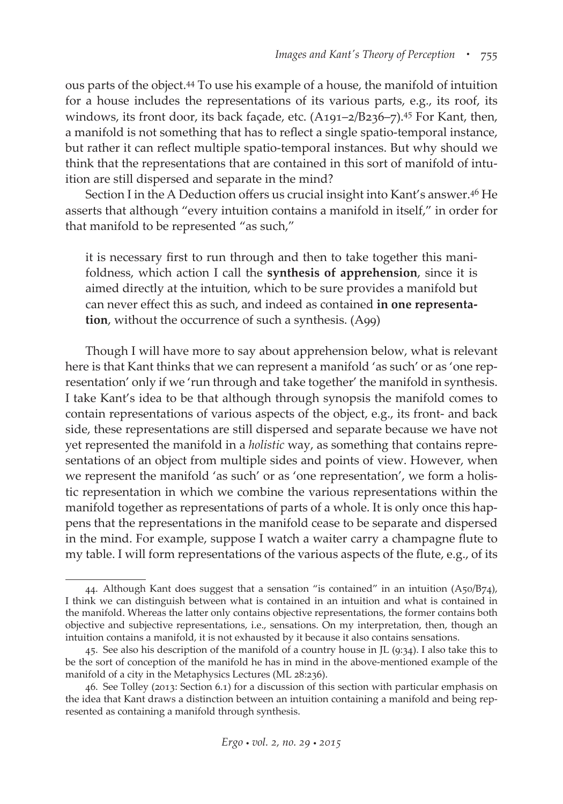ous parts of the object.44 To use his example of a house, the manifold of intuition for a house includes the representations of its various parts, e.g., its roof, its windows, its front door, its back façade, etc. (A191-2/B236-7).<sup>45</sup> For Kant, then, a manifold is not something that has to reflect a single spatio-temporal instance, but rather it can reflect multiple spatio-temporal instances. But why should we think that the representations that are contained in this sort of manifold of intuition are still dispersed and separate in the mind?

Section I in the A Deduction offers us crucial insight into Kant's answer.46 He asserts that although "every intuition contains a manifold in itself," in order for that manifold to be represented "as such,"

it is necessary first to run through and then to take together this manifoldness, which action I call the **synthesis of apprehension**, since it is aimed directly at the intuition, which to be sure provides a manifold but can never effect this as such, and indeed as contained **in one representation**, without the occurrence of such a synthesis. (A99)

Though I will have more to say about apprehension below, what is relevant here is that Kant thinks that we can represent a manifold 'as such' or as 'one representation' only if we 'run through and take together' the manifold in synthesis. I take Kant's idea to be that although through synopsis the manifold comes to contain representations of various aspects of the object, e.g., its front- and back side, these representations are still dispersed and separate because we have not yet represented the manifold in a *holistic* way, as something that contains representations of an object from multiple sides and points of view. However, when we represent the manifold 'as such' or as 'one representation', we form a holistic representation in which we combine the various representations within the manifold together as representations of parts of a whole. It is only once this happens that the representations in the manifold cease to be separate and dispersed in the mind. For example, suppose I watch a waiter carry a champagne flute to my table. I will form representations of the various aspects of the flute, e.g., of its

<sup>44.</sup> Although Kant does suggest that a sensation "is contained" in an intuition (A50/B74), I think we can distinguish between what is contained in an intuition and what is contained in the manifold. Whereas the latter only contains objective representations, the former contains both objective and subjective representations, i.e., sensations. On my interpretation, then, though an intuition contains a manifold, it is not exhausted by it because it also contains sensations.

<sup>45.</sup> See also his description of the manifold of a country house in JL (9:34). I also take this to be the sort of conception of the manifold he has in mind in the above-mentioned example of the manifold of a city in the Metaphysics Lectures (ML 28:236).

<sup>46.</sup> See Tolley (2013: Section 6.1) for a discussion of this section with particular emphasis on the idea that Kant draws a distinction between an intuition containing a manifold and being represented as containing a manifold through synthesis.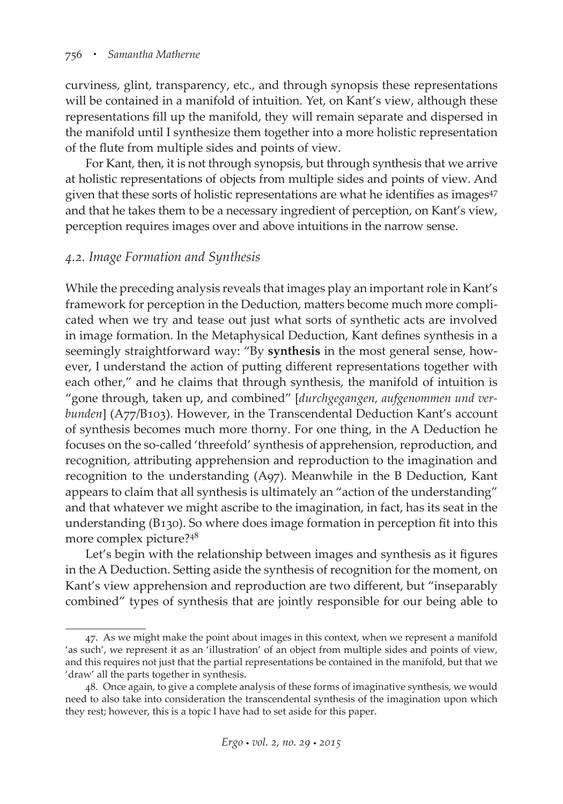curviness, glint, transparency, etc., and through synopsis these representations will be contained in a manifold of intuition. Yet, on Kant's view, although these representations fill up the manifold, they will remain separate and dispersed in the manifold until I synthesize them together into a more holistic representation of the flute from multiple sides and points of view.

For Kant, then, it is not through synopsis, but through synthesis that we arrive at holistic representations of objects from multiple sides and points of view. And given that these sorts of holistic representations are what he identifies as images<sup>47</sup> and that he takes them to be a necessary ingredient of perception, on Kant's view, perception requires images over and above intuitions in the narrow sense.

#### *4.2. Image Formation and Synthesis*

While the preceding analysis reveals that images play an important role in Kant's framework for perception in the Deduction, matters become much more complicated when we try and tease out just what sorts of synthetic acts are involved in image formation. In the Metaphysical Deduction, Kant defines synthesis in a seemingly straightforward way: "By **synthesis** in the most general sense, however, I understand the action of putting different representations together with each other," and he claims that through synthesis, the manifold of intuition is "gone through, taken up, and combined" [*durchgegangen, aufgenommen und verbunden*] (A77/B103). However, in the Transcendental Deduction Kant's account of synthesis becomes much more thorny. For one thing, in the A Deduction he focuses on the so-called 'threefold' synthesis of apprehension, reproduction, and recognition, attributing apprehension and reproduction to the imagination and recognition to the understanding (A97). Meanwhile in the B Deduction, Kant appears to claim that all synthesis is ultimately an "action of the understanding" and that whatever we might ascribe to the imagination, in fact, has its seat in the understanding (B130). So where does image formation in perception fit into this more complex picture?<sup>48</sup>

Let's begin with the relationship between images and synthesis as it figures in the A Deduction. Setting aside the synthesis of recognition for the moment, on Kant's view apprehension and reproduction are two different, but "inseparably combined" types of synthesis that are jointly responsible for our being able to

<sup>47.</sup> As we might make the point about images in this context, when we represent a manifold 'as such', we represent it as an 'illustration' of an object from multiple sides and points of view, and this requires not just that the partial representations be contained in the manifold, but that we 'draw' all the parts together in synthesis.

<sup>48.</sup> Once again, to give a complete analysis of these forms of imaginative synthesis, we would need to also take into consideration the transcendental synthesis of the imagination upon which they rest; however, this is a topic I have had to set aside for this paper.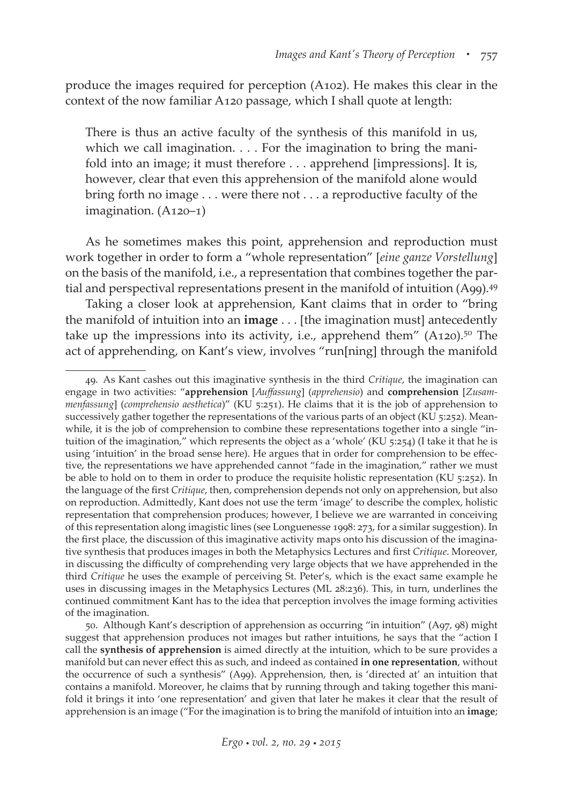produce the images required for perception (A102). He makes this clear in the context of the now familiar A120 passage, which I shall quote at length:

There is thus an active faculty of the synthesis of this manifold in us, which we call imagination. . . . For the imagination to bring the manifold into an image; it must therefore . . . apprehend [impressions]. It is, however, clear that even this apprehension of the manifold alone would bring forth no image . . . were there not . . . a reproductive faculty of the imagination. (A120–1)

As he sometimes makes this point, apprehension and reproduction must work together in order to form a "whole representation" [*eine ganze Vorstellung*] on the basis of the manifold, i.e., a representation that combines together the partial and perspectival representations present in the manifold of intuition (A99).<sup>49</sup>

Taking a closer look at apprehension, Kant claims that in order to "bring the manifold of intuition into an **image** . . . [the imagination must] antecedently take up the impressions into its activity, i.e., apprehend them"  $(A120)$ .<sup>50</sup> The act of apprehending, on Kant's view, involves "run[ning] through the manifold

<sup>49.</sup> As Kant cashes out this imaginative synthesis in the third *Critique*, the imagination can engage in two activities: "**apprehension** [*Auffassung*] (*apprehensio*) and **comprehension** [*Zusammenfassung*] (*comprehensio aesthetica*)" (KU 5:251). He claims that it is the job of apprehension to successively gather together the representations of the various parts of an object (KU 5:252). Meanwhile, it is the job of comprehension to combine these representations together into a single "intuition of the imagination," which represents the object as a 'whole' (KU 5:254) (I take it that he is using 'intuition' in the broad sense here). He argues that in order for comprehension to be effective, the representations we have apprehended cannot "fade in the imagination," rather we must be able to hold on to them in order to produce the requisite holistic representation (KU 5:252). In the language of the first *Critique*, then, comprehension depends not only on apprehension, but also on reproduction. Admittedly, Kant does not use the term 'image' to describe the complex, holistic representation that comprehension produces; however, I believe we are warranted in conceiving of this representation along imagistic lines (see Longuenesse 1998: 273, for a similar suggestion). In the first place, the discussion of this imaginative activity maps onto his discussion of the imaginative synthesis that produces images in both the Metaphysics Lectures and first *Critique*. Moreover, in discussing the difficulty of comprehending very large objects that we have apprehended in the third *Critique* he uses the example of perceiving St. Peter's, which is the exact same example he uses in discussing images in the Metaphysics Lectures (ML 28:236). This, in turn, underlines the continued commitment Kant has to the idea that perception involves the image forming activities of the imagination.

<sup>50.</sup> Although Kant's description of apprehension as occurring "in intuition" (A97, 98) might suggest that apprehension produces not images but rather intuitions, he says that the "action I call the **synthesis of apprehension** is aimed directly at the intuition, which to be sure provides a manifold but can never effect this as such, and indeed as contained **in one representation**, without the occurrence of such a synthesis" (A99). Apprehension, then, is 'directed at' an intuition that contains a manifold. Moreover, he claims that by running through and taking together this manifold it brings it into 'one representation' and given that later he makes it clear that the result of apprehension is an image ("For the imagination is to bring the manifold of intuition into an **image**;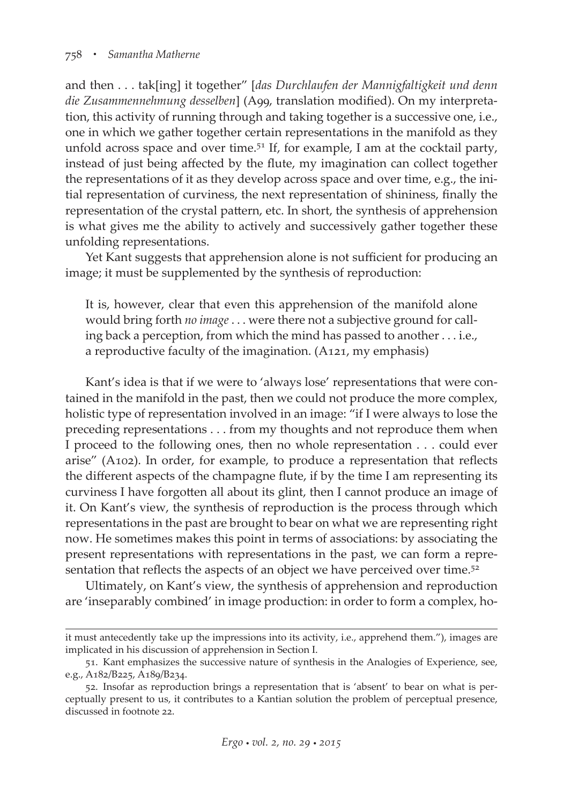and then . . . tak[ing] it together" [*das Durchlaufen der Mannigfaltigkeit und denn die Zusammennehmung desselben*] (A99, translation modified). On my interpretation, this activity of running through and taking together is a successive one, i.e., one in which we gather together certain representations in the manifold as they unfold across space and over time.<sup>51</sup> If, for example, I am at the cocktail party, instead of just being affected by the flute, my imagination can collect together the representations of it as they develop across space and over time, e.g., the initial representation of curviness, the next representation of shininess, finally the representation of the crystal pattern, etc. In short, the synthesis of apprehension is what gives me the ability to actively and successively gather together these unfolding representations.

Yet Kant suggests that apprehension alone is not sufficient for producing an image; it must be supplemented by the synthesis of reproduction:

It is, however, clear that even this apprehension of the manifold alone would bring forth *no image* . . . were there not a subjective ground for calling back a perception, from which the mind has passed to another . . . i.e., a reproductive faculty of the imagination. (A121, my emphasis)

Kant's idea is that if we were to 'always lose' representations that were contained in the manifold in the past, then we could not produce the more complex, holistic type of representation involved in an image: "if I were always to lose the preceding representations . . . from my thoughts and not reproduce them when I proceed to the following ones, then no whole representation . . . could ever arise" (A102). In order, for example, to produce a representation that reflects the different aspects of the champagne flute, if by the time I am representing its curviness I have forgotten all about its glint, then I cannot produce an image of it. On Kant's view, the synthesis of reproduction is the process through which representations in the past are brought to bear on what we are representing right now. He sometimes makes this point in terms of associations: by associating the present representations with representations in the past, we can form a representation that reflects the aspects of an object we have perceived over time.<sup>52</sup>

Ultimately, on Kant's view, the synthesis of apprehension and reproduction are 'inseparably combined' in image production: in order to form a complex, ho-

it must antecedently take up the impressions into its activity, i.e., apprehend them."), images are implicated in his discussion of apprehension in Section I.

<sup>51.</sup> Kant emphasizes the successive nature of synthesis in the Analogies of Experience, see, e.g., A182/B225, A189/B234.

<sup>52.</sup> Insofar as reproduction brings a representation that is 'absent' to bear on what is perceptually present to us, it contributes to a Kantian solution the problem of perceptual presence, discussed in footnote 22.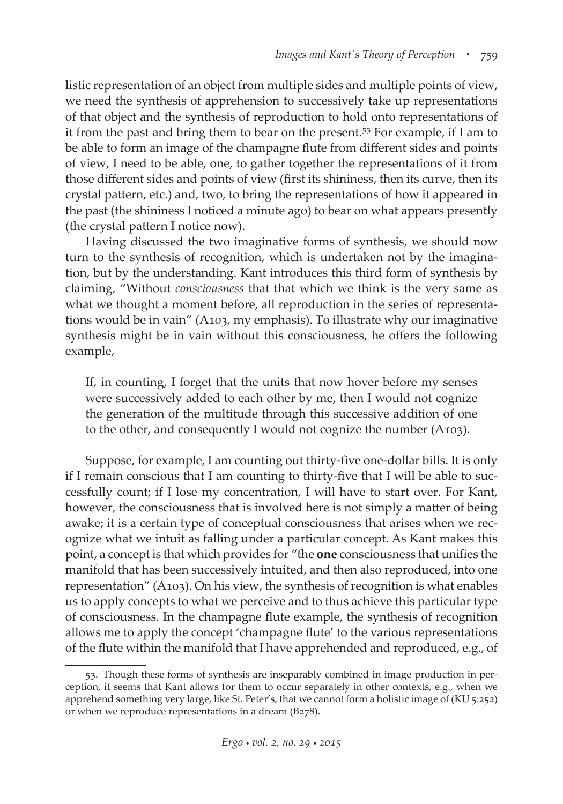listic representation of an object from multiple sides and multiple points of view, we need the synthesis of apprehension to successively take up representations of that object and the synthesis of reproduction to hold onto representations of it from the past and bring them to bear on the present.53 For example, if I am to be able to form an image of the champagne flute from different sides and points of view, I need to be able, one, to gather together the representations of it from those different sides and points of view (first its shininess, then its curve, then its crystal pattern, etc.) and, two, to bring the representations of how it appeared in the past (the shininess I noticed a minute ago) to bear on what appears presently (the crystal pattern I notice now).

Having discussed the two imaginative forms of synthesis, we should now turn to the synthesis of recognition, which is undertaken not by the imagination, but by the understanding. Kant introduces this third form of synthesis by claiming, "Without *consciousness* that that which we think is the very same as what we thought a moment before, all reproduction in the series of representations would be in vain" (A103, my emphasis). To illustrate why our imaginative synthesis might be in vain without this consciousness, he offers the following example,

If, in counting, I forget that the units that now hover before my senses were successively added to each other by me, then I would not cognize the generation of the multitude through this successive addition of one to the other, and consequently I would not cognize the number (A103).

Suppose, for example, I am counting out thirty-five one-dollar bills. It is only if I remain conscious that I am counting to thirty-five that I will be able to successfully count; if I lose my concentration, I will have to start over. For Kant, however, the consciousness that is involved here is not simply a matter of being awake; it is a certain type of conceptual consciousness that arises when we recognize what we intuit as falling under a particular concept. As Kant makes this point, a concept is that which provides for "the **one** consciousness that unifies the manifold that has been successively intuited, and then also reproduced, into one representation" (A103). On his view, the synthesis of recognition is what enables us to apply concepts to what we perceive and to thus achieve this particular type of consciousness. In the champagne flute example, the synthesis of recognition allows me to apply the concept 'champagne flute' to the various representations of the flute within the manifold that I have apprehended and reproduced, e.g., of

<sup>53.</sup> Though these forms of synthesis are inseparably combined in image production in perception, it seems that Kant allows for them to occur separately in other contexts, e.g., when we apprehend something very large, like St. Peter's, that we cannot form a holistic image of (KU 5:252) or when we reproduce representations in a dream (B278).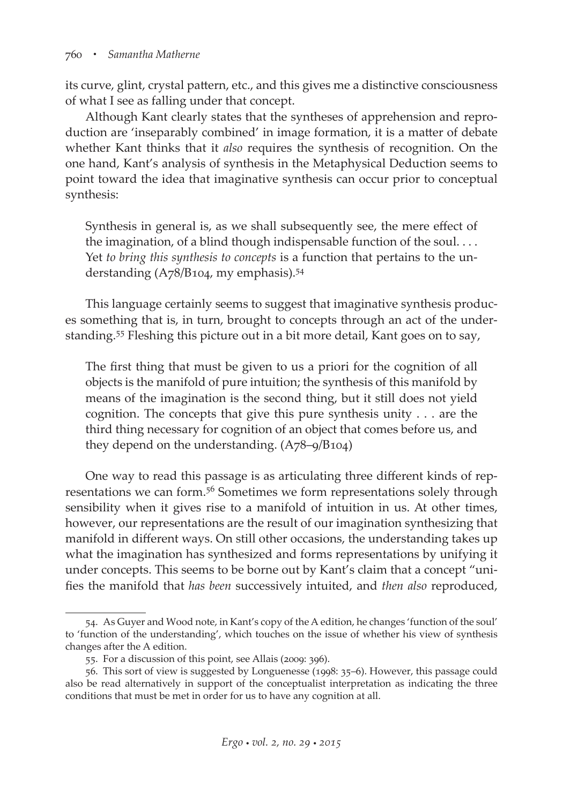its curve, glint, crystal pattern, etc., and this gives me a distinctive consciousness of what I see as falling under that concept.

Although Kant clearly states that the syntheses of apprehension and reproduction are 'inseparably combined' in image formation, it is a matter of debate whether Kant thinks that it *also* requires the synthesis of recognition. On the one hand, Kant's analysis of synthesis in the Metaphysical Deduction seems to point toward the idea that imaginative synthesis can occur prior to conceptual synthesis:

Synthesis in general is, as we shall subsequently see, the mere effect of the imagination, of a blind though indispensable function of the soul. . . . Yet *to bring this synthesis to concepts* is a function that pertains to the understanding (A78/B104, my emphasis).54

This language certainly seems to suggest that imaginative synthesis produces something that is, in turn, brought to concepts through an act of the understanding.55 Fleshing this picture out in a bit more detail, Kant goes on to say,

The first thing that must be given to us a priori for the cognition of all objects is the manifold of pure intuition; the synthesis of this manifold by means of the imagination is the second thing, but it still does not yield cognition. The concepts that give this pure synthesis unity . . . are the third thing necessary for cognition of an object that comes before us, and they depend on the understanding. (A78–9/B104)

One way to read this passage is as articulating three different kinds of representations we can form.<sup>56</sup> Sometimes we form representations solely through sensibility when it gives rise to a manifold of intuition in us. At other times, however, our representations are the result of our imagination synthesizing that manifold in different ways. On still other occasions, the understanding takes up what the imagination has synthesized and forms representations by unifying it under concepts. This seems to be borne out by Kant's claim that a concept "unifies the manifold that *has been* successively intuited, and *then also* reproduced,

<sup>54.</sup> As Guyer and Wood note, in Kant's copy of the A edition, he changes 'function of the soul' to 'function of the understanding', which touches on the issue of whether his view of synthesis changes after the A edition.

<sup>55.</sup> For a discussion of this point, see Allais (2009: 396).

<sup>56.</sup> This sort of view is suggested by Longuenesse (1998: 35–6). However, this passage could also be read alternatively in support of the conceptualist interpretation as indicating the three conditions that must be met in order for us to have any cognition at all.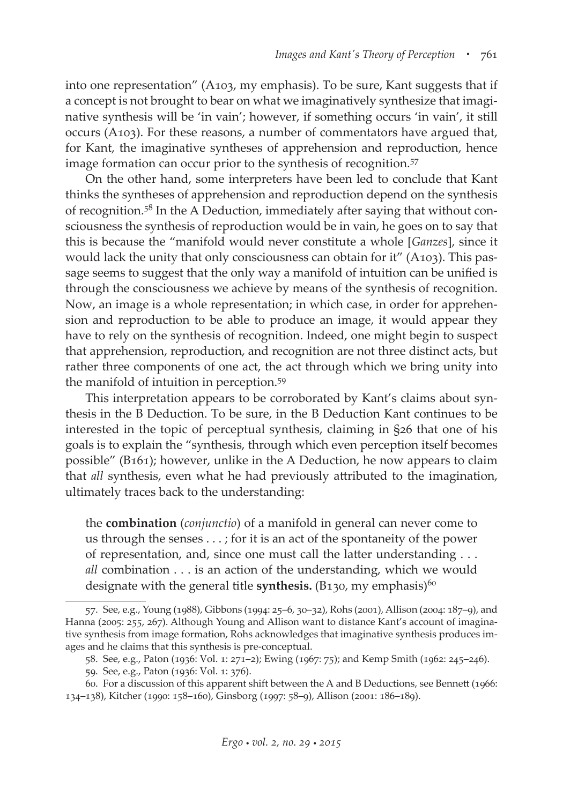into one representation" (A103, my emphasis). To be sure, Kant suggests that if a concept is not brought to bear on what we imaginatively synthesize that imaginative synthesis will be 'in vain'; however, if something occurs 'in vain', it still occurs (A103). For these reasons, a number of commentators have argued that, for Kant, the imaginative syntheses of apprehension and reproduction, hence image formation can occur prior to the synthesis of recognition.<sup>57</sup>

On the other hand, some interpreters have been led to conclude that Kant thinks the syntheses of apprehension and reproduction depend on the synthesis of recognition.<sup>58</sup> In the A Deduction, immediately after saying that without consciousness the synthesis of reproduction would be in vain, he goes on to say that this is because the "manifold would never constitute a whole [*Ganzes*], since it would lack the unity that only consciousness can obtain for it" (A103). This passage seems to suggest that the only way a manifold of intuition can be unified is through the consciousness we achieve by means of the synthesis of recognition. Now, an image is a whole representation; in which case, in order for apprehension and reproduction to be able to produce an image, it would appear they have to rely on the synthesis of recognition. Indeed, one might begin to suspect that apprehension, reproduction, and recognition are not three distinct acts, but rather three components of one act, the act through which we bring unity into the manifold of intuition in perception.<sup>59</sup>

This interpretation appears to be corroborated by Kant's claims about synthesis in the B Deduction. To be sure, in the B Deduction Kant continues to be interested in the topic of perceptual synthesis, claiming in §26 that one of his goals is to explain the "synthesis, through which even perception itself becomes possible" (B161); however, unlike in the A Deduction, he now appears to claim that *all* synthesis, even what he had previously attributed to the imagination, ultimately traces back to the understanding:

the **combination** (*conjunctio*) of a manifold in general can never come to us through the senses . . . ; for it is an act of the spontaneity of the power of representation, and, since one must call the latter understanding . . . *all* combination . . . is an action of the understanding, which we would designate with the general title **synthesis.** (B130, my emphasis) $60$ 

<sup>57.</sup> See, e.g., Young (1988), Gibbons (1994: 25–6, 30–32), Rohs (2001), Allison (2004: 187–9), and Hanna (2005: 255, 267). Although Young and Allison want to distance Kant's account of imaginative synthesis from image formation, Rohs acknowledges that imaginative synthesis produces images and he claims that this synthesis is pre-conceptual.

<sup>58.</sup> See, e.g., Paton (1936: Vol. 1: 271–2); Ewing (1967: 75); and Kemp Smith (1962: 245–246).

<sup>59.</sup> See, e.g., Paton (1936: Vol. 1: 376).

<sup>60.</sup> For a discussion of this apparent shift between the A and B Deductions, see Bennett (1966: 134–138), Kitcher (1990: 158–160), Ginsborg (1997: 58–9), Allison (2001: 186–189).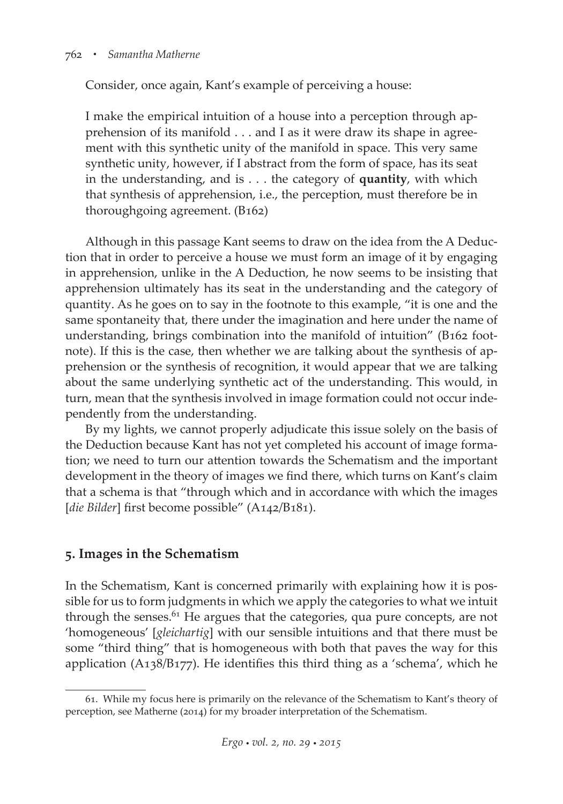#### 762 *• Samantha Matherne*

Consider, once again, Kant's example of perceiving a house:

I make the empirical intuition of a house into a perception through apprehension of its manifold . . . and I as it were draw its shape in agreement with this synthetic unity of the manifold in space. This very same synthetic unity, however, if I abstract from the form of space, has its seat in the understanding, and is . . . the category of **quantity**, with which that synthesis of apprehension, i.e., the perception, must therefore be in thoroughgoing agreement. (B162)

Although in this passage Kant seems to draw on the idea from the A Deduction that in order to perceive a house we must form an image of it by engaging in apprehension, unlike in the A Deduction, he now seems to be insisting that apprehension ultimately has its seat in the understanding and the category of quantity. As he goes on to say in the footnote to this example, "it is one and the same spontaneity that, there under the imagination and here under the name of understanding, brings combination into the manifold of intuition" (B162 footnote). If this is the case, then whether we are talking about the synthesis of apprehension or the synthesis of recognition, it would appear that we are talking about the same underlying synthetic act of the understanding. This would, in turn, mean that the synthesis involved in image formation could not occur independently from the understanding.

By my lights, we cannot properly adjudicate this issue solely on the basis of the Deduction because Kant has not yet completed his account of image formation; we need to turn our attention towards the Schematism and the important development in the theory of images we find there, which turns on Kant's claim that a schema is that "through which and in accordance with which the images [*die Bilder*] first become possible" (A142/B181).

## **5. Images in the Schematism**

In the Schematism, Kant is concerned primarily with explaining how it is possible for us to form judgments in which we apply the categories to what we intuit through the senses. $61$  He argues that the categories, qua pure concepts, are not 'homogeneous' [*gleichartig*] with our sensible intuitions and that there must be some "third thing" that is homogeneous with both that paves the way for this application (A138/B177). He identifies this third thing as a 'schema', which he

<sup>61.</sup> While my focus here is primarily on the relevance of the Schematism to Kant's theory of perception, see Matherne (2014) for my broader interpretation of the Schematism.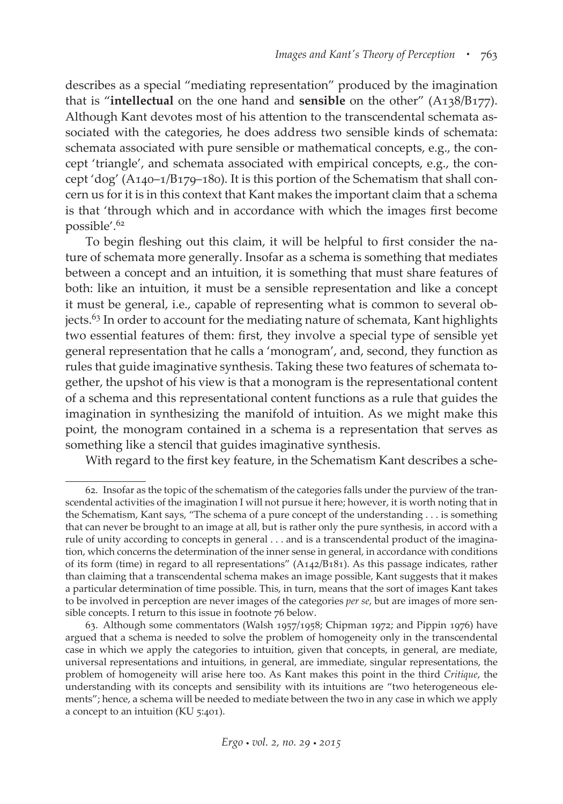describes as a special "mediating representation" produced by the imagination that is "**intellectual** on the one hand and **sensible** on the other" (A138/B177). Although Kant devotes most of his attention to the transcendental schemata associated with the categories, he does address two sensible kinds of schemata: schemata associated with pure sensible or mathematical concepts, e.g., the concept 'triangle', and schemata associated with empirical concepts, e.g., the concept 'dog' (A140–1/B179–180). It is this portion of the Schematism that shall concern us for it is in this context that Kant makes the important claim that a schema is that 'through which and in accordance with which the images first become possible'.<sup>62</sup>

To begin fleshing out this claim, it will be helpful to first consider the nature of schemata more generally. Insofar as a schema is something that mediates between a concept and an intuition, it is something that must share features of both: like an intuition, it must be a sensible representation and like a concept it must be general, i.e., capable of representing what is common to several objects.63 In order to account for the mediating nature of schemata, Kant highlights two essential features of them: first, they involve a special type of sensible yet general representation that he calls a 'monogram', and, second, they function as rules that guide imaginative synthesis. Taking these two features of schemata together, the upshot of his view is that a monogram is the representational content of a schema and this representational content functions as a rule that guides the imagination in synthesizing the manifold of intuition. As we might make this point, the monogram contained in a schema is a representation that serves as something like a stencil that guides imaginative synthesis.

With regard to the first key feature, in the Schematism Kant describes a sche-

<sup>62.</sup> Insofar as the topic of the schematism of the categories falls under the purview of the transcendental activities of the imagination I will not pursue it here; however, it is worth noting that in the Schematism, Kant says, "The schema of a pure concept of the understanding . . . is something that can never be brought to an image at all, but is rather only the pure synthesis, in accord with a rule of unity according to concepts in general . . . and is a transcendental product of the imagination, which concerns the determination of the inner sense in general, in accordance with conditions of its form (time) in regard to all representations" (A142/B181). As this passage indicates, rather than claiming that a transcendental schema makes an image possible, Kant suggests that it makes a particular determination of time possible. This, in turn, means that the sort of images Kant takes to be involved in perception are never images of the categories *per se*, but are images of more sensible concepts. I return to this issue in footnote 76 below.

<sup>63.</sup> Although some commentators (Walsh 1957/1958; Chipman 1972; and Pippin 1976) have argued that a schema is needed to solve the problem of homogeneity only in the transcendental case in which we apply the categories to intuition, given that concepts, in general, are mediate, universal representations and intuitions, in general, are immediate, singular representations, the problem of homogeneity will arise here too. As Kant makes this point in the third *Critique*, the understanding with its concepts and sensibility with its intuitions are "two heterogeneous elements"; hence, a schema will be needed to mediate between the two in any case in which we apply a concept to an intuition (KU 5:401).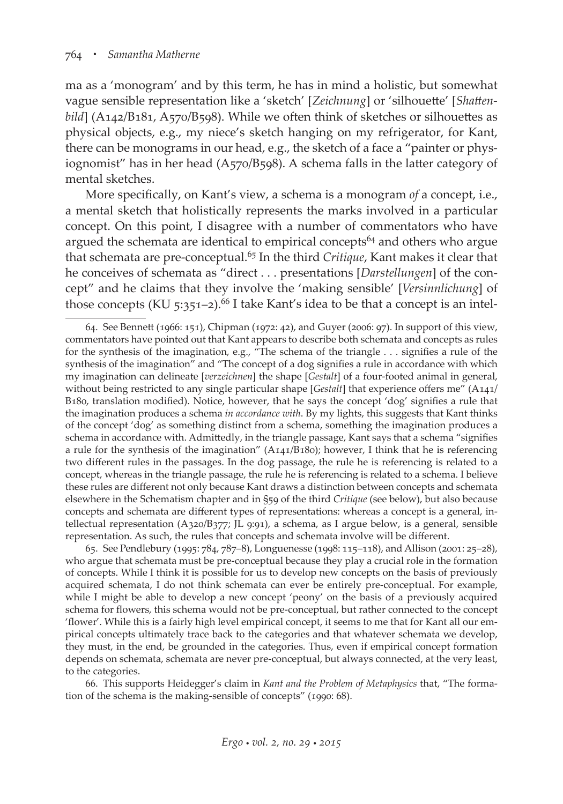ma as a 'monogram' and by this term, he has in mind a holistic, but somewhat vague sensible representation like a 'sketch' [*Zeichnung*] or 'silhouette' [*Shattenbild*] (A142/B181, A570/B598). While we often think of sketches or silhouettes as physical objects, e.g., my niece's sketch hanging on my refrigerator, for Kant, there can be monograms in our head, e.g., the sketch of a face a "painter or physiognomist" has in her head (A570/B598). A schema falls in the latter category of mental sketches.

More specifically, on Kant's view, a schema is a monogram *of* a concept, i.e., a mental sketch that holistically represents the marks involved in a particular concept. On this point, I disagree with a number of commentators who have argued the schemata are identical to empirical concepts<sup>64</sup> and others who argue that schemata are pre-conceptual.65 In the third *Critique*, Kant makes it clear that he conceives of schemata as "direct . . . presentations [*Darstellungen*] of the concept" and he claims that they involve the 'making sensible' [*Versinnlichung*] of those concepts (KU 5:351-2).<sup>66</sup> I take Kant's idea to be that a concept is an intel-

65. See Pendlebury (1995: 784, 787–8), Longuenesse (1998: 115–118), and Allison (2001: 25–28), who argue that schemata must be pre-conceptual because they play a crucial role in the formation of concepts. While I think it is possible for us to develop new concepts on the basis of previously acquired schemata, I do not think schemata can ever be entirely pre-conceptual. For example, while I might be able to develop a new concept 'peony' on the basis of a previously acquired schema for flowers, this schema would not be pre-conceptual, but rather connected to the concept 'flower'. While this is a fairly high level empirical concept, it seems to me that for Kant all our empirical concepts ultimately trace back to the categories and that whatever schemata we develop, they must, in the end, be grounded in the categories. Thus, even if empirical concept formation depends on schemata, schemata are never pre-conceptual, but always connected, at the very least, to the categories.

66. This supports Heidegger's claim in *Kant and the Problem of Metaphysics* that, "The formation of the schema is the making-sensible of concepts" (1990: 68).

<sup>64.</sup> See Bennett (1966: 151), Chipman (1972: 42), and Guyer (2006: 97). In support of this view, commentators have pointed out that Kant appears to describe both schemata and concepts as rules for the synthesis of the imagination, e.g., "The schema of the triangle . . . signifies a rule of the synthesis of the imagination" and "The concept of a dog signifies a rule in accordance with which my imagination can delineate [*verzeichnen*] the shape [*Gestalt*] of a four-footed animal in general, without being restricted to any single particular shape [*Gestalt*] that experience offers me" (A141/ B180, translation modified). Notice, however, that he says the concept 'dog' signifies a rule that the imagination produces a schema *in accordance with*. By my lights, this suggests that Kant thinks of the concept 'dog' as something distinct from a schema, something the imagination produces a schema in accordance with. Admittedly, in the triangle passage, Kant says that a schema "signifies a rule for the synthesis of the imagination"  $(A141/B180)$ ; however, I think that he is referencing two different rules in the passages. In the dog passage, the rule he is referencing is related to a concept, whereas in the triangle passage, the rule he is referencing is related to a schema. I believe these rules are different not only because Kant draws a distinction between concepts and schemata elsewhere in the Schematism chapter and in §59 of the third *Critique* (see below), but also because concepts and schemata are different types of representations: whereas a concept is a general, intellectual representation (A320/B377; JL 9:91), a schema, as I argue below, is a general, sensible representation. As such, the rules that concepts and schemata involve will be different.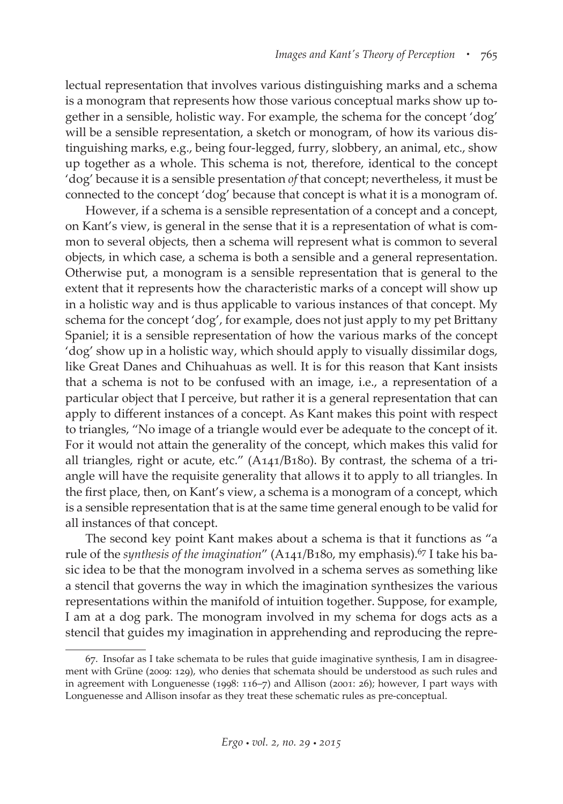lectual representation that involves various distinguishing marks and a schema is a monogram that represents how those various conceptual marks show up together in a sensible, holistic way. For example, the schema for the concept 'dog' will be a sensible representation, a sketch or monogram, of how its various distinguishing marks, e.g., being four-legged, furry, slobbery, an animal, etc., show up together as a whole. This schema is not, therefore, identical to the concept 'dog' because it is a sensible presentation *of* that concept; nevertheless, it must be connected to the concept 'dog' because that concept is what it is a monogram of.

However, if a schema is a sensible representation of a concept and a concept, on Kant's view, is general in the sense that it is a representation of what is common to several objects, then a schema will represent what is common to several objects, in which case, a schema is both a sensible and a general representation. Otherwise put, a monogram is a sensible representation that is general to the extent that it represents how the characteristic marks of a concept will show up in a holistic way and is thus applicable to various instances of that concept. My schema for the concept 'dog', for example, does not just apply to my pet Brittany Spaniel; it is a sensible representation of how the various marks of the concept 'dog' show up in a holistic way, which should apply to visually dissimilar dogs, like Great Danes and Chihuahuas as well. It is for this reason that Kant insists that a schema is not to be confused with an image, i.e., a representation of a particular object that I perceive, but rather it is a general representation that can apply to different instances of a concept. As Kant makes this point with respect to triangles, "No image of a triangle would ever be adequate to the concept of it. For it would not attain the generality of the concept, which makes this valid for all triangles, right or acute, etc." (A141/B180). By contrast, the schema of a triangle will have the requisite generality that allows it to apply to all triangles. In the first place, then, on Kant's view, a schema is a monogram of a concept, which is a sensible representation that is at the same time general enough to be valid for all instances of that concept.

The second key point Kant makes about a schema is that it functions as "a rule of the *synthesis of the imagination*" (A141/B180, my emphasis).<sup>67</sup> I take his basic idea to be that the monogram involved in a schema serves as something like a stencil that governs the way in which the imagination synthesizes the various representations within the manifold of intuition together. Suppose, for example, I am at a dog park. The monogram involved in my schema for dogs acts as a stencil that guides my imagination in apprehending and reproducing the repre-

<sup>67.</sup> Insofar as I take schemata to be rules that guide imaginative synthesis, I am in disagreement with Grüne (2009: 129), who denies that schemata should be understood as such rules and in agreement with Longuenesse (1998: 116–7) and Allison (2001: 26); however, I part ways with Longuenesse and Allison insofar as they treat these schematic rules as pre-conceptual.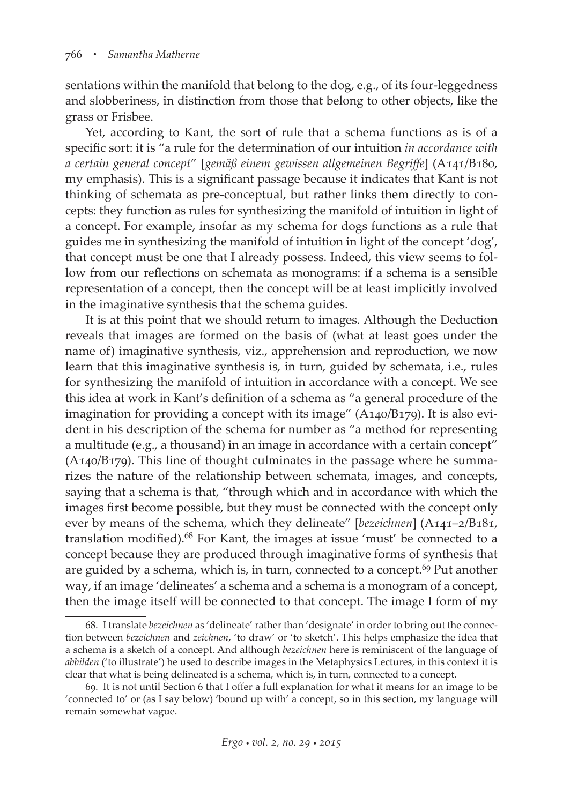sentations within the manifold that belong to the dog, e.g., of its four-leggedness and slobberiness, in distinction from those that belong to other objects, like the grass or Frisbee.

Yet, according to Kant, the sort of rule that a schema functions as is of a specific sort: it is "a rule for the determination of our intuition *in accordance with a certain general concept*" [*gemäß einem gewissen allgemeinen Begriffe*] (A141/B180, my emphasis). This is a significant passage because it indicates that Kant is not thinking of schemata as pre-conceptual, but rather links them directly to concepts: they function as rules for synthesizing the manifold of intuition in light of a concept. For example, insofar as my schema for dogs functions as a rule that guides me in synthesizing the manifold of intuition in light of the concept 'dog', that concept must be one that I already possess. Indeed, this view seems to follow from our reflections on schemata as monograms: if a schema is a sensible representation of a concept, then the concept will be at least implicitly involved in the imaginative synthesis that the schema guides.

It is at this point that we should return to images. Although the Deduction reveals that images are formed on the basis of (what at least goes under the name of) imaginative synthesis, viz., apprehension and reproduction, we now learn that this imaginative synthesis is, in turn, guided by schemata, i.e., rules for synthesizing the manifold of intuition in accordance with a concept. We see this idea at work in Kant's definition of a schema as "a general procedure of the imagination for providing a concept with its image" (A140/B179). It is also evident in his description of the schema for number as "a method for representing a multitude (e.g., a thousand) in an image in accordance with a certain concept" (A140/B179). This line of thought culminates in the passage where he summarizes the nature of the relationship between schemata, images, and concepts, saying that a schema is that, "through which and in accordance with which the images first become possible, but they must be connected with the concept only ever by means of the schema, which they delineate" [*bezeichnen*] (A141–2/B181, translation modified).<sup>68</sup> For Kant, the images at issue 'must' be connected to a concept because they are produced through imaginative forms of synthesis that are guided by a schema, which is, in turn, connected to a concept.<sup>69</sup> Put another way, if an image 'delineates' a schema and a schema is a monogram of a concept, then the image itself will be connected to that concept. The image I form of my

<sup>68.</sup> I translate *bezeichnen* as 'delineate' rather than 'designate' in order to bring out the connection between *bezeichnen* and *zeichnen*, 'to draw' or 'to sketch'. This helps emphasize the idea that a schema is a sketch of a concept. And although *bezeichnen* here is reminiscent of the language of *abbilden* ('to illustrate') he used to describe images in the Metaphysics Lectures, in this context it is clear that what is being delineated is a schema, which is, in turn, connected to a concept.

<sup>69.</sup> It is not until Section 6 that I offer a full explanation for what it means for an image to be 'connected to' or (as I say below) 'bound up with' a concept, so in this section, my language will remain somewhat vague.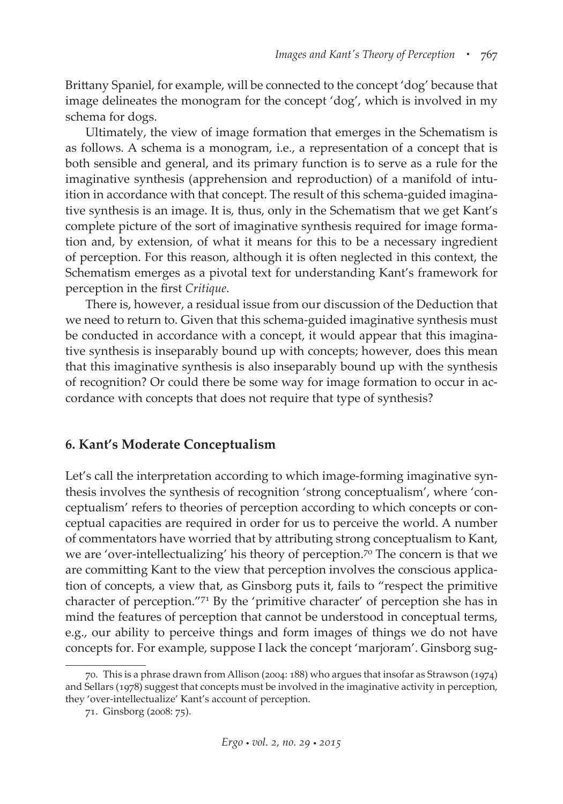Brittany Spaniel, for example, will be connected to the concept 'dog' because that image delineates the monogram for the concept 'dog', which is involved in my schema for dogs.

Ultimately, the view of image formation that emerges in the Schematism is as follows. A schema is a monogram, i.e., a representation of a concept that is both sensible and general, and its primary function is to serve as a rule for the imaginative synthesis (apprehension and reproduction) of a manifold of intuition in accordance with that concept. The result of this schema-guided imaginative synthesis is an image. It is, thus, only in the Schematism that we get Kant's complete picture of the sort of imaginative synthesis required for image formation and, by extension, of what it means for this to be a necessary ingredient of perception. For this reason, although it is often neglected in this context, the Schematism emerges as a pivotal text for understanding Kant's framework for perception in the first *Critique*.

There is, however, a residual issue from our discussion of the Deduction that we need to return to. Given that this schema-guided imaginative synthesis must be conducted in accordance with a concept, it would appear that this imaginative synthesis is inseparably bound up with concepts; however, does this mean that this imaginative synthesis is also inseparably bound up with the synthesis of recognition? Or could there be some way for image formation to occur in accordance with concepts that does not require that type of synthesis?

## **6. Kant's Moderate Conceptualism**

Let's call the interpretation according to which image-forming imaginative synthesis involves the synthesis of recognition 'strong conceptualism', where 'conceptualism' refers to theories of perception according to which concepts or conceptual capacities are required in order for us to perceive the world. A number of commentators have worried that by attributing strong conceptualism to Kant, we are 'over-intellectualizing' his theory of perception.<sup>70</sup> The concern is that we are committing Kant to the view that perception involves the conscious application of concepts, a view that, as Ginsborg puts it, fails to "respect the primitive character of perception."71 By the 'primitive character' of perception she has in mind the features of perception that cannot be understood in conceptual terms, e.g., our ability to perceive things and form images of things we do not have concepts for. For example, suppose I lack the concept 'marjoram'. Ginsborg sug-

<sup>70.</sup> This is a phrase drawn from Allison (2004: 188) who argues that insofar as Strawson (1974) and Sellars (1978) suggest that concepts must be involved in the imaginative activity in perception, they 'over-intellectualize' Kant's account of perception.

<sup>71.</sup> Ginsborg (2008: 75).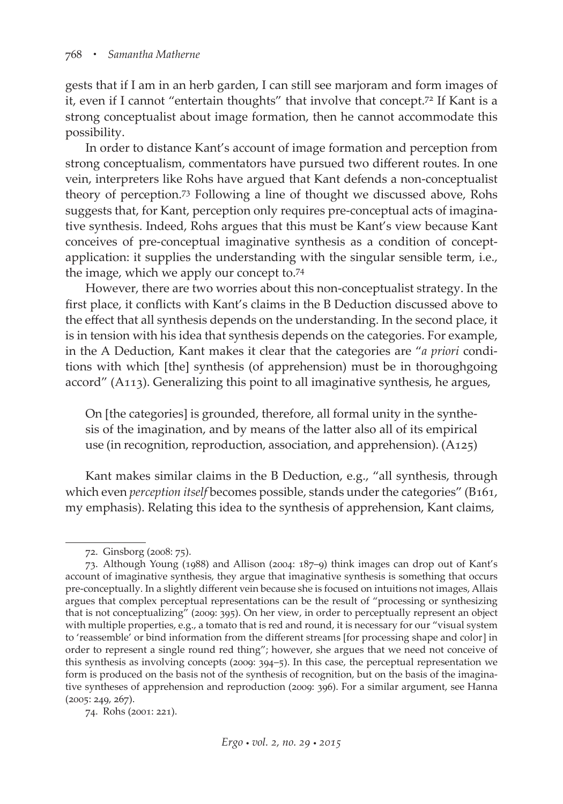gests that if I am in an herb garden, I can still see marjoram and form images of it, even if I cannot "entertain thoughts" that involve that concept.72 If Kant is a strong conceptualist about image formation, then he cannot accommodate this possibility.

In order to distance Kant's account of image formation and perception from strong conceptualism, commentators have pursued two different routes. In one vein, interpreters like Rohs have argued that Kant defends a non-conceptualist theory of perception.73 Following a line of thought we discussed above, Rohs suggests that, for Kant, perception only requires pre-conceptual acts of imaginative synthesis. Indeed, Rohs argues that this must be Kant's view because Kant conceives of pre-conceptual imaginative synthesis as a condition of conceptapplication: it supplies the understanding with the singular sensible term, i.e., the image, which we apply our concept to.74

However, there are two worries about this non-conceptualist strategy. In the first place, it conflicts with Kant's claims in the B Deduction discussed above to the effect that all synthesis depends on the understanding. In the second place, it is in tension with his idea that synthesis depends on the categories. For example, in the A Deduction, Kant makes it clear that the categories are "*a priori* conditions with which [the] synthesis (of apprehension) must be in thoroughgoing accord" (A113). Generalizing this point to all imaginative synthesis, he argues,

On [the categories] is grounded, therefore, all formal unity in the synthesis of the imagination, and by means of the latter also all of its empirical use (in recognition, reproduction, association, and apprehension). (A125)

Kant makes similar claims in the B Deduction, e.g., "all synthesis, through which even *perception itself* becomes possible, stands under the categories" (B161, my emphasis). Relating this idea to the synthesis of apprehension, Kant claims,

<sup>72.</sup> Ginsborg (2008: 75).

<sup>73.</sup> Although Young (1988) and Allison (2004: 187–9) think images can drop out of Kant's account of imaginative synthesis, they argue that imaginative synthesis is something that occurs pre-conceptually. In a slightly different vein because she is focused on intuitions not images, Allais argues that complex perceptual representations can be the result of "processing or synthesizing that is not conceptualizing" (2009: 395). On her view, in order to perceptually represent an object with multiple properties, e.g., a tomato that is red and round, it is necessary for our "visual system to 'reassemble' or bind information from the different streams [for processing shape and color] in order to represent a single round red thing"; however, she argues that we need not conceive of this synthesis as involving concepts (2009: 394–5). In this case, the perceptual representation we form is produced on the basis not of the synthesis of recognition, but on the basis of the imaginative syntheses of apprehension and reproduction (2009: 396). For a similar argument, see Hanna (2005: 249, 267).

<sup>74.</sup> Rohs (2001: 221).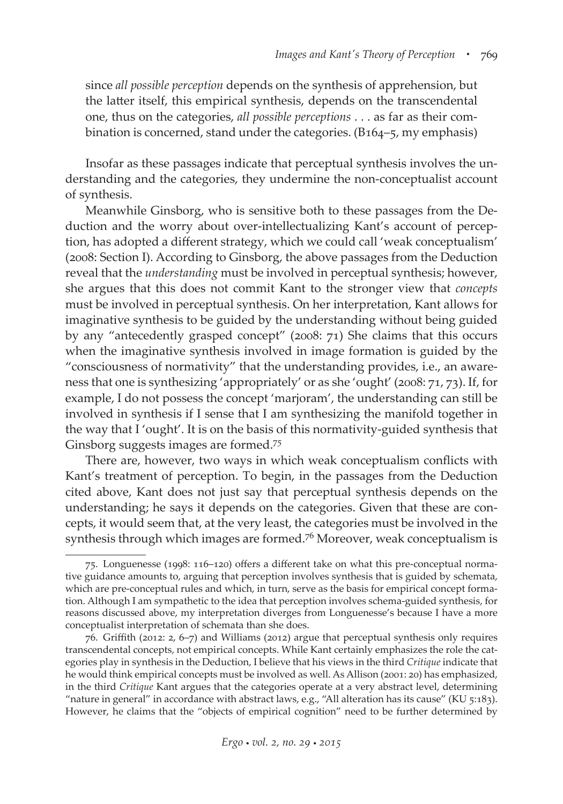since *all possible perception* depends on the synthesis of apprehension, but the latter itself, this empirical synthesis, depends on the transcendental one, thus on the categories, *all possible perceptions* . . . as far as their combination is concerned, stand under the categories. (B164–5, my emphasis)

Insofar as these passages indicate that perceptual synthesis involves the understanding and the categories, they undermine the non-conceptualist account of synthesis.

Meanwhile Ginsborg, who is sensitive both to these passages from the Deduction and the worry about over-intellectualizing Kant's account of perception, has adopted a different strategy, which we could call 'weak conceptualism' (2008: Section I). According to Ginsborg, the above passages from the Deduction reveal that the *understanding* must be involved in perceptual synthesis; however, she argues that this does not commit Kant to the stronger view that *concepts* must be involved in perceptual synthesis. On her interpretation, Kant allows for imaginative synthesis to be guided by the understanding without being guided by any "antecedently grasped concept" (2008: 71) She claims that this occurs when the imaginative synthesis involved in image formation is guided by the "consciousness of normativity" that the understanding provides, i.e., an awareness that one is synthesizing 'appropriately' or as she 'ought' (2008: 71, 73). If, for example, I do not possess the concept 'marjoram', the understanding can still be involved in synthesis if I sense that I am synthesizing the manifold together in the way that I 'ought'. It is on the basis of this normativity-guided synthesis that Ginsborg suggests images are formed.75

There are, however, two ways in which weak conceptualism conflicts with Kant's treatment of perception. To begin, in the passages from the Deduction cited above, Kant does not just say that perceptual synthesis depends on the understanding; he says it depends on the categories. Given that these are concepts, it would seem that, at the very least, the categories must be involved in the synthesis through which images are formed.76 Moreover, weak conceptualism is

<sup>75.</sup> Longuenesse (1998: 116–120) offers a different take on what this pre-conceptual normative guidance amounts to, arguing that perception involves synthesis that is guided by schemata, which are pre-conceptual rules and which, in turn, serve as the basis for empirical concept formation. Although I am sympathetic to the idea that perception involves schema-guided synthesis, for reasons discussed above, my interpretation diverges from Longuenesse's because I have a more conceptualist interpretation of schemata than she does.

<sup>76.</sup> Griffith (2012: 2, 6–7) and Williams (2012) argue that perceptual synthesis only requires transcendental concepts, not empirical concepts. While Kant certainly emphasizes the role the categories play in synthesis in the Deduction, I believe that his views in the third *Critique* indicate that he would think empirical concepts must be involved as well. As Allison (2001: 20) has emphasized, in the third *Critique* Kant argues that the categories operate at a very abstract level, determining "nature in general" in accordance with abstract laws, e.g., "All alteration has its cause" (KU 5:183). However, he claims that the "objects of empirical cognition" need to be further determined by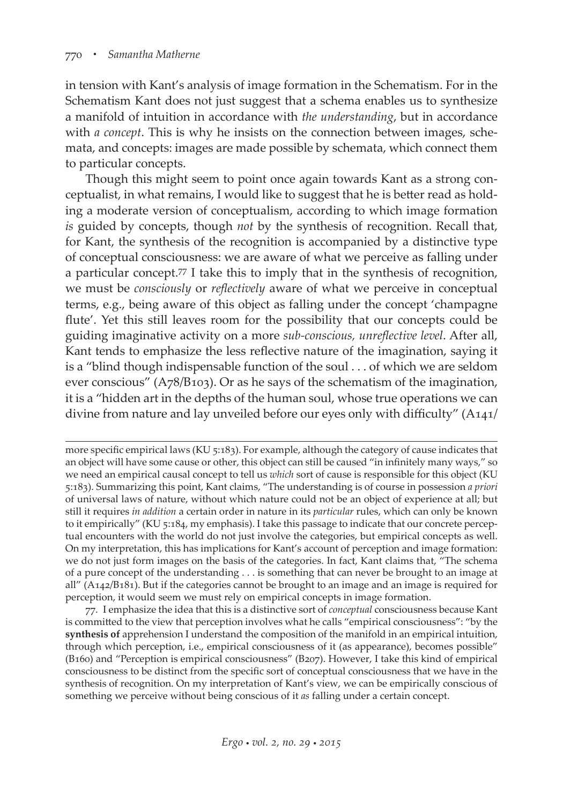in tension with Kant's analysis of image formation in the Schematism. For in the Schematism Kant does not just suggest that a schema enables us to synthesize a manifold of intuition in accordance with *the understanding*, but in accordance with *a concept*. This is why he insists on the connection between images, schemata, and concepts: images are made possible by schemata, which connect them to particular concepts.

Though this might seem to point once again towards Kant as a strong conceptualist, in what remains, I would like to suggest that he is better read as holding a moderate version of conceptualism, according to which image formation *is* guided by concepts, though *not* by the synthesis of recognition. Recall that, for Kant, the synthesis of the recognition is accompanied by a distinctive type of conceptual consciousness: we are aware of what we perceive as falling under a particular concept.77 I take this to imply that in the synthesis of recognition, we must be *consciously* or *reflectively* aware of what we perceive in conceptual terms, e.g., being aware of this object as falling under the concept 'champagne flute'. Yet this still leaves room for the possibility that our concepts could be guiding imaginative activity on a more *sub-conscious, unreflective level*. After all, Kant tends to emphasize the less reflective nature of the imagination, saying it is a "blind though indispensable function of the soul . . . of which we are seldom ever conscious" (A78/B103). Or as he says of the schematism of the imagination, it is a "hidden art in the depths of the human soul, whose true operations we can divine from nature and lay unveiled before our eyes only with difficulty" (A141/

77. I emphasize the idea that this is a distinctive sort of *conceptual* consciousness because Kant is committed to the view that perception involves what he calls "empirical consciousness": "by the **synthesis of** apprehension I understand the composition of the manifold in an empirical intuition, through which perception, i.e., empirical consciousness of it (as appearance), becomes possible" (B160) and "Perception is empirical consciousness" (B207). However, I take this kind of empirical consciousness to be distinct from the specific sort of conceptual consciousness that we have in the synthesis of recognition. On my interpretation of Kant's view, we can be empirically conscious of something we perceive without being conscious of it *as* falling under a certain concept.

more specific empirical laws (KU 5:183). For example, although the category of cause indicates that an object will have some cause or other, this object can still be caused "in infinitely many ways," so we need an empirical causal concept to tell us *which* sort of cause is responsible for this object (KU 5:183). Summarizing this point, Kant claims, "The understanding is of course in possession *a priori* of universal laws of nature, without which nature could not be an object of experience at all; but still it requires *in addition* a certain order in nature in its *particular* rules, which can only be known to it empirically" (KU 5:184, my emphasis). I take this passage to indicate that our concrete perceptual encounters with the world do not just involve the categories, but empirical concepts as well. On my interpretation, this has implications for Kant's account of perception and image formation: we do not just form images on the basis of the categories. In fact, Kant claims that, "The schema of a pure concept of the understanding . . . is something that can never be brought to an image at all" (A142/B181). But if the categories cannot be brought to an image and an image is required for perception, it would seem we must rely on empirical concepts in image formation.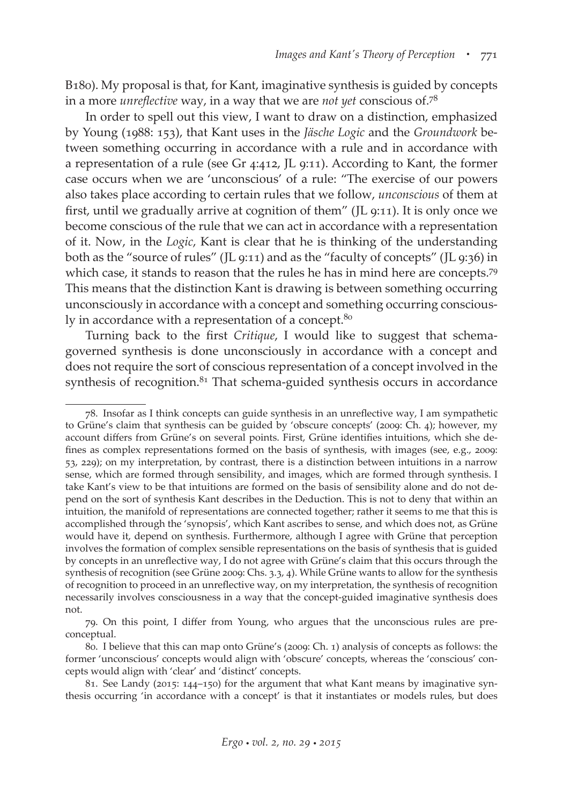B180). My proposal is that, for Kant, imaginative synthesis is guided by concepts in a more *unreflective* way, in a way that we are *not yet* conscious of.78

In order to spell out this view, I want to draw on a distinction, emphasized by Young (1988: 153), that Kant uses in the *Jäsche Logic* and the *Groundwork* between something occurring in accordance with a rule and in accordance with a representation of a rule (see Gr 4:412, JL 9:11). According to Kant, the former case occurs when we are 'unconscious' of a rule: "The exercise of our powers also takes place according to certain rules that we follow, *unconscious* of them at first, until we gradually arrive at cognition of them" (JL 9:11). It is only once we become conscious of the rule that we can act in accordance with a representation of it. Now, in the *Logic*, Kant is clear that he is thinking of the understanding both as the "source of rules" (JL 9:11) and as the "faculty of concepts" (JL 9:36) in which case, it stands to reason that the rules he has in mind here are concepts.<sup>79</sup> This means that the distinction Kant is drawing is between something occurring unconsciously in accordance with a concept and something occurring consciously in accordance with a representation of a concept.<sup>80</sup>

Turning back to the first *Critique*, I would like to suggest that schemagoverned synthesis is done unconsciously in accordance with a concept and does not require the sort of conscious representation of a concept involved in the synthesis of recognition. $81$  That schema-guided synthesis occurs in accordance

<sup>78.</sup> Insofar as I think concepts can guide synthesis in an unreflective way, I am sympathetic to Grüne's claim that synthesis can be guided by 'obscure concepts' (2009: Ch. 4); however, my account differs from Grüne's on several points. First, Grüne identifies intuitions, which she defines as complex representations formed on the basis of synthesis, with images (see, e.g., 2009: 53, 229); on my interpretation, by contrast, there is a distinction between intuitions in a narrow sense, which are formed through sensibility, and images, which are formed through synthesis. I take Kant's view to be that intuitions are formed on the basis of sensibility alone and do not depend on the sort of synthesis Kant describes in the Deduction. This is not to deny that within an intuition, the manifold of representations are connected together; rather it seems to me that this is accomplished through the 'synopsis', which Kant ascribes to sense, and which does not, as Grüne would have it, depend on synthesis. Furthermore, although I agree with Grüne that perception involves the formation of complex sensible representations on the basis of synthesis that is guided by concepts in an unreflective way, I do not agree with Grüne's claim that this occurs through the synthesis of recognition (see Grüne 2009: Chs. 3.3, 4). While Grüne wants to allow for the synthesis of recognition to proceed in an unreflective way, on my interpretation, the synthesis of recognition necessarily involves consciousness in a way that the concept-guided imaginative synthesis does not.

<sup>79.</sup> On this point, I differ from Young, who argues that the unconscious rules are preconceptual.

<sup>80.</sup> I believe that this can map onto Grüne's (2009: Ch. 1) analysis of concepts as follows: the former 'unconscious' concepts would align with 'obscure' concepts, whereas the 'conscious' concepts would align with 'clear' and 'distinct' concepts.

<sup>81.</sup> See Landy (2015: 144–150) for the argument that what Kant means by imaginative synthesis occurring 'in accordance with a concept' is that it instantiates or models rules, but does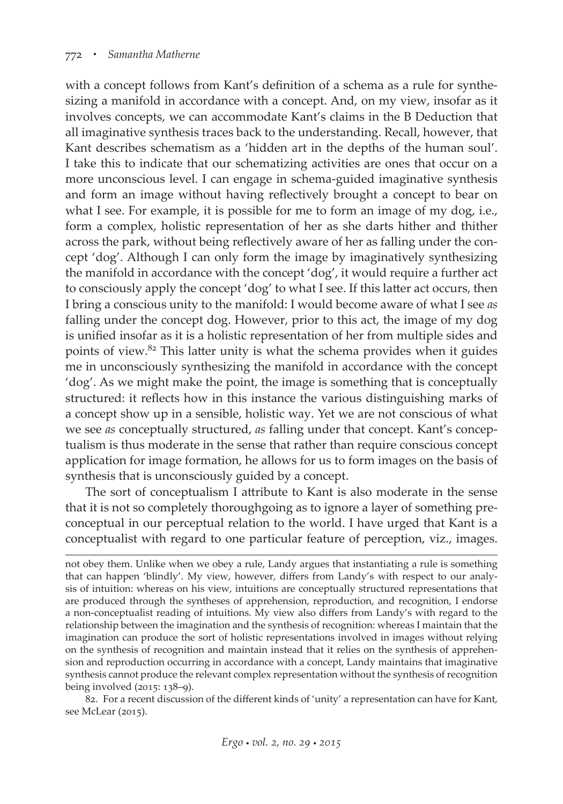with a concept follows from Kant's definition of a schema as a rule for synthesizing a manifold in accordance with a concept. And, on my view, insofar as it involves concepts, we can accommodate Kant's claims in the B Deduction that all imaginative synthesis traces back to the understanding. Recall, however, that Kant describes schematism as a 'hidden art in the depths of the human soul'. I take this to indicate that our schematizing activities are ones that occur on a more unconscious level. I can engage in schema-guided imaginative synthesis and form an image without having reflectively brought a concept to bear on what I see. For example, it is possible for me to form an image of my dog, i.e., form a complex, holistic representation of her as she darts hither and thither across the park, without being reflectively aware of her as falling under the concept 'dog'. Although I can only form the image by imaginatively synthesizing the manifold in accordance with the concept 'dog', it would require a further act to consciously apply the concept 'dog' to what I see. If this latter act occurs, then I bring a conscious unity to the manifold: I would become aware of what I see *as* falling under the concept dog. However, prior to this act, the image of my dog is unified insofar as it is a holistic representation of her from multiple sides and points of view.82 This latter unity is what the schema provides when it guides me in unconsciously synthesizing the manifold in accordance with the concept 'dog'. As we might make the point, the image is something that is conceptually structured: it reflects how in this instance the various distinguishing marks of a concept show up in a sensible, holistic way. Yet we are not conscious of what we see *as* conceptually structured, *as* falling under that concept. Kant's conceptualism is thus moderate in the sense that rather than require conscious concept application for image formation, he allows for us to form images on the basis of synthesis that is unconsciously guided by a concept.

The sort of conceptualism I attribute to Kant is also moderate in the sense that it is not so completely thoroughgoing as to ignore a layer of something preconceptual in our perceptual relation to the world. I have urged that Kant is a conceptualist with regard to one particular feature of perception, viz., images.

82. For a recent discussion of the different kinds of 'unity' a representation can have for Kant, see McLear (2015).

not obey them. Unlike when we obey a rule, Landy argues that instantiating a rule is something that can happen 'blindly'. My view, however, differs from Landy's with respect to our analysis of intuition: whereas on his view, intuitions are conceptually structured representations that are produced through the syntheses of apprehension, reproduction, and recognition, I endorse a non-conceptualist reading of intuitions. My view also differs from Landy's with regard to the relationship between the imagination and the synthesis of recognition: whereas I maintain that the imagination can produce the sort of holistic representations involved in images without relying on the synthesis of recognition and maintain instead that it relies on the synthesis of apprehension and reproduction occurring in accordance with a concept, Landy maintains that imaginative synthesis cannot produce the relevant complex representation without the synthesis of recognition being involved (2015: 138–9).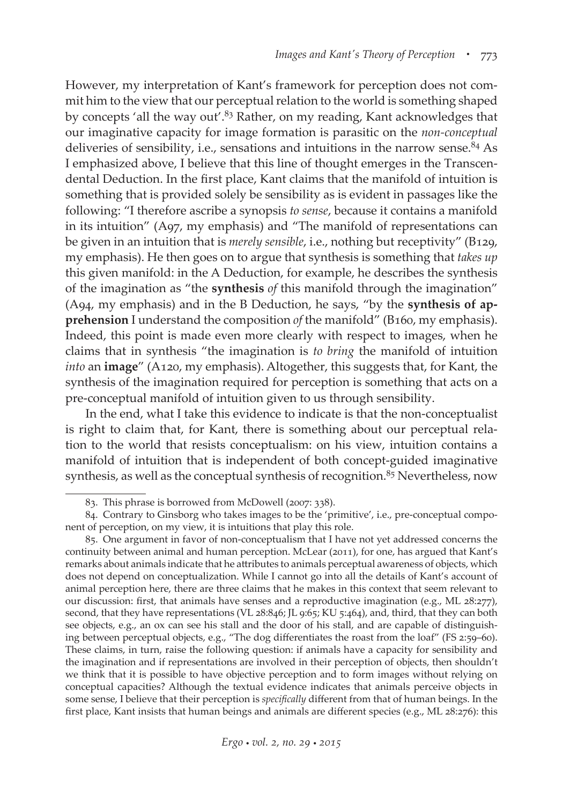However, my interpretation of Kant's framework for perception does not commit him to the view that our perceptual relation to the world is something shaped by concepts 'all the way out'.<sup>83</sup> Rather, on my reading, Kant acknowledges that our imaginative capacity for image formation is parasitic on the *non-conceptual* deliveries of sensibility, i.e., sensations and intuitions in the narrow sense.<sup>84</sup> As I emphasized above, I believe that this line of thought emerges in the Transcendental Deduction. In the first place, Kant claims that the manifold of intuition is something that is provided solely be sensibility as is evident in passages like the following: "I therefore ascribe a synopsis *to sense*, because it contains a manifold in its intuition" (A97, my emphasis) and "The manifold of representations can be given in an intuition that is *merely sensible*, i.e., nothing but receptivity" (B129, my emphasis). He then goes on to argue that synthesis is something that *takes up* this given manifold: in the A Deduction, for example, he describes the synthesis of the imagination as "the **synthesis** *of* this manifold through the imagination" (A94, my emphasis) and in the B Deduction, he says, "by the **synthesis of apprehension** I understand the composition *of* the manifold" (B160, my emphasis). Indeed, this point is made even more clearly with respect to images, when he claims that in synthesis "the imagination is *to bring* the manifold of intuition *into* an **image**" (A120, my emphasis). Altogether, this suggests that, for Kant, the synthesis of the imagination required for perception is something that acts on a pre-conceptual manifold of intuition given to us through sensibility.

In the end, what I take this evidence to indicate is that the non-conceptualist is right to claim that, for Kant, there is something about our perceptual relation to the world that resists conceptualism: on his view, intuition contains a manifold of intuition that is independent of both concept-guided imaginative synthesis, as well as the conceptual synthesis of recognition.<sup>85</sup> Nevertheless, now

<sup>83.</sup> This phrase is borrowed from McDowell (2007: 338).

<sup>84.</sup> Contrary to Ginsborg who takes images to be the 'primitive', i.e., pre-conceptual component of perception, on my view, it is intuitions that play this role.

<sup>85.</sup> One argument in favor of non-conceptualism that I have not yet addressed concerns the continuity between animal and human perception. McLear (2011), for one, has argued that Kant's remarks about animals indicate that he attributes to animals perceptual awareness of objects, which does not depend on conceptualization. While I cannot go into all the details of Kant's account of animal perception here, there are three claims that he makes in this context that seem relevant to our discussion: first, that animals have senses and a reproductive imagination (e.g., ML 28:277), second, that they have representations (VL 28:846; JL 9:65; KU 5:464), and, third, that they can both see objects, e.g., an ox can see his stall and the door of his stall, and are capable of distinguishing between perceptual objects, e.g., "The dog differentiates the roast from the loaf" (FS 2:59–60). These claims, in turn, raise the following question: if animals have a capacity for sensibility and the imagination and if representations are involved in their perception of objects, then shouldn't we think that it is possible to have objective perception and to form images without relying on conceptual capacities? Although the textual evidence indicates that animals perceive objects in some sense, I believe that their perception is *specifically* different from that of human beings. In the first place, Kant insists that human beings and animals are different species (e.g., ML 28:276): this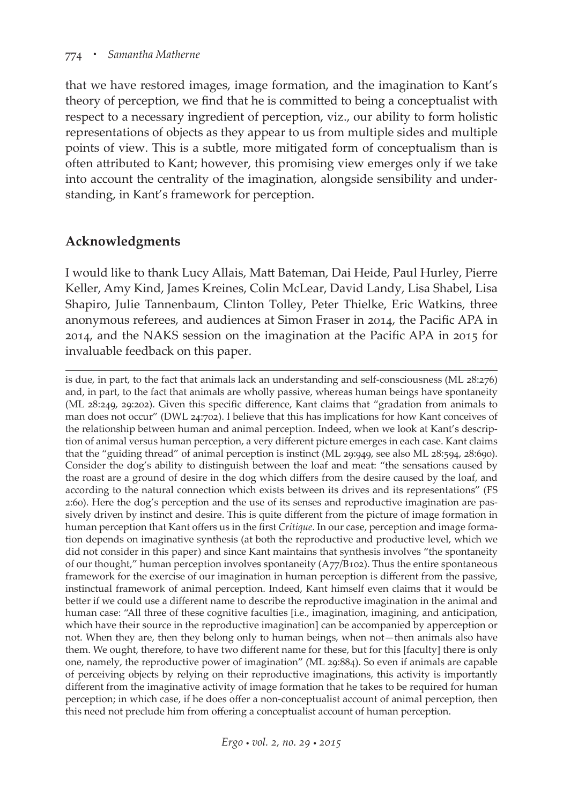that we have restored images, image formation, and the imagination to Kant's theory of perception, we find that he is committed to being a conceptualist with respect to a necessary ingredient of perception, viz., our ability to form holistic representations of objects as they appear to us from multiple sides and multiple points of view. This is a subtle, more mitigated form of conceptualism than is often attributed to Kant; however, this promising view emerges only if we take into account the centrality of the imagination, alongside sensibility and understanding, in Kant's framework for perception.

## **Acknowledgments**

I would like to thank Lucy Allais, Matt Bateman, Dai Heide, Paul Hurley, Pierre Keller, Amy Kind, James Kreines, Colin McLear, David Landy, Lisa Shabel, Lisa Shapiro, Julie Tannenbaum, Clinton Tolley, Peter Thielke, Eric Watkins, three anonymous referees, and audiences at Simon Fraser in 2014, the Pacific APA in 2014, and the NAKS session on the imagination at the Pacific APA in 2015 for invaluable feedback on this paper.

is due, in part, to the fact that animals lack an understanding and self-consciousness (ML 28:276) and, in part, to the fact that animals are wholly passive, whereas human beings have spontaneity (ML 28:249, 29:202). Given this specific difference, Kant claims that "gradation from animals to man does not occur" (DWL 24:702). I believe that this has implications for how Kant conceives of the relationship between human and animal perception. Indeed, when we look at Kant's description of animal versus human perception, a very different picture emerges in each case. Kant claims that the "guiding thread" of animal perception is instinct (ML 29:949, see also ML 28:594, 28:690). Consider the dog's ability to distinguish between the loaf and meat: "the sensations caused by the roast are a ground of desire in the dog which differs from the desire caused by the loaf, and according to the natural connection which exists between its drives and its representations" (FS 2:60). Here the dog's perception and the use of its senses and reproductive imagination are passively driven by instinct and desire. This is quite different from the picture of image formation in human perception that Kant offers us in the first *Critique*. In our case, perception and image formation depends on imaginative synthesis (at both the reproductive and productive level, which we did not consider in this paper) and since Kant maintains that synthesis involves "the spontaneity of our thought," human perception involves spontaneity (A77/B102). Thus the entire spontaneous framework for the exercise of our imagination in human perception is different from the passive, instinctual framework of animal perception. Indeed, Kant himself even claims that it would be better if we could use a different name to describe the reproductive imagination in the animal and human case: "All three of these cognitive faculties [i.e., imagination, imagining, and anticipation, which have their source in the reproductive imagination] can be accompanied by apperception or not. When they are, then they belong only to human beings, when not—then animals also have them. We ought, therefore, to have two different name for these, but for this [faculty] there is only one, namely, the reproductive power of imagination" (ML 29:884). So even if animals are capable of perceiving objects by relying on their reproductive imaginations, this activity is importantly different from the imaginative activity of image formation that he takes to be required for human perception; in which case, if he does offer a non-conceptualist account of animal perception, then this need not preclude him from offering a conceptualist account of human perception.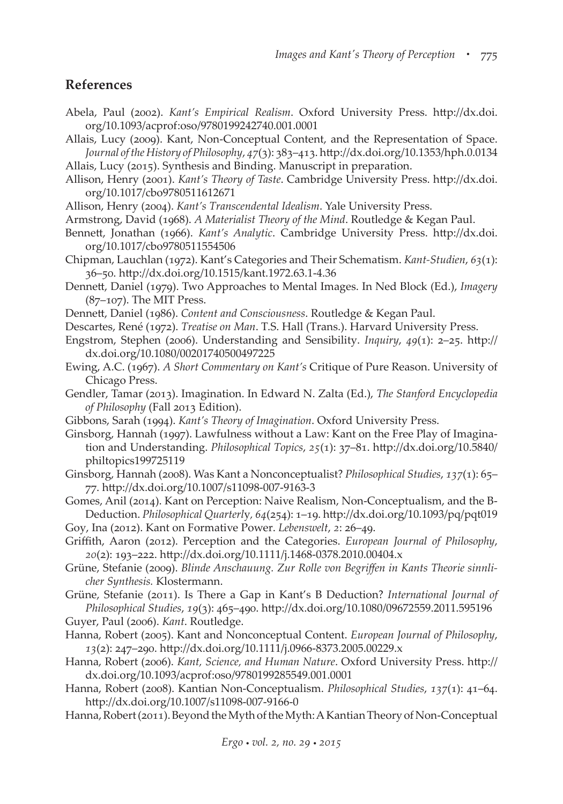#### **References**

- Abela, Paul (2002). *Kant's Empirical Realism*. Oxford University Press. http://dx.doi. org/10.1093/acprof:oso/9780199242740.001.0001
- Allais, Lucy (2009). Kant, Non-Conceptual Content, and the Representation of Space. *Journal of the History of Philosophy*, *47*(3): 383–413. http://dx.doi.org/10.1353/hph.0.0134 Allais, Lucy (2015). Synthesis and Binding. Manuscript in preparation.
- Allison, Henry (2001). *Kant's Theory of Taste*. Cambridge University Press. http://dx.doi.
- org/10.1017/cbo9780511612671
- Allison, Henry (2004). *Kant's Transcendental Idealism*. Yale University Press.
- Armstrong, David (1968). *A Materialist Theory of the Mind*. Routledge & Kegan Paul.
- Bennett, Jonathan (1966). *Kant's Analytic*. Cambridge University Press. http://dx.doi. org/10.1017/cbo9780511554506
- Chipman, Lauchlan (1972). Kant's Categories and Their Schematism. *Kant-Studien*, *63*(1): 36–50. http://dx.doi.org/10.1515/kant.1972.63.1-4.36
- Dennett, Daniel (1979). Two Approaches to Mental Images. In Ned Block (Ed.), *Imagery* (87–107). The MIT Press.
- Dennett, Daniel (1986). *Content and Consciousness*. Routledge & Kegan Paul.
- Descartes, René (1972). *Treatise on Man*. T.S. Hall (Trans.). Harvard University Press.
- Engstrom, Stephen (2006). Understanding and Sensibility. *Inquiry*, *49*(1): 2–25. http:// dx.doi.org/10.1080/00201740500497225
- Ewing, A.C. (1967). *A Short Commentary on Kant's* Critique of Pure Reason. University of Chicago Press.
- Gendler, Tamar (2013). Imagination. In Edward N. Zalta (Ed.), *The Stanford Encyclopedia of Philosophy* (Fall 2013 Edition).
- Gibbons, Sarah (1994). *Kant's Theory of Imagination*. Oxford University Press.
- Ginsborg, Hannah (1997). Lawfulness without a Law: Kant on the Free Play of Imagination and Understanding. *Philosophical Topics*, *25*(1): 37–81. http://dx.doi.org/10.5840/ philtopics199725119
- Ginsborg, Hannah (2008). Was Kant a Nonconceptualist? *Philosophical Studies*, *137*(1): 65– 77. http://dx.doi.org/10.1007/s11098-007-9163-3
- Gomes, Anil (2014). Kant on Perception: Naive Realism, Non-Conceptualism, and the B-Deduction. *Philosophical Quarterl*y*, 64*(254): 1–19. http://dx.doi.org/10.1093/pq/pqt019
- Goy, Ina (2012). Kant on Formative Power. *Lebenswelt*, *2*: 26–49.
- Griffith, Aaron (2012). Perception and the Categories. *European Journal of Philosophy*, *20*(2): 193–222. http://dx.doi.org/10.1111/j.1468-0378.2010.00404.x
- Grüne, Stefanie (2009). *Blinde Anschauung. Zur Rolle von Begriffen in Kants Theorie sinnlicher Synthesis.* Klostermann.
- Grüne, Stefanie (2011). Is There a Gap in Kant's B Deduction? *International Journal of Philosophical Studies*, *19*(3): 465–490. http://dx.doi.org/10.1080/09672559.2011.595196
- Guyer, Paul (2006). *Kant*. Routledge.
- Hanna, Robert (2005). Kant and Nonconceptual Content. *European Journal of Philosophy*, *13*(2): 247–290. http://dx.doi.org/10.1111/j.0966-8373.2005.00229.x
- Hanna, Robert (2006). *Kant, Science, and Human Nature*. Oxford University Press. http:// dx.doi.org/10.1093/acprof:oso/9780199285549.001.0001
- Hanna, Robert (2008). Kantian Non-Conceptualism. *Philosophical Studies*, *137*(1): 41–64. http://dx.doi.org/10.1007/s11098-007-9166-0
- Hanna, Robert (2011). Beyond the Myth of the Myth: A Kantian Theory of Non-Conceptual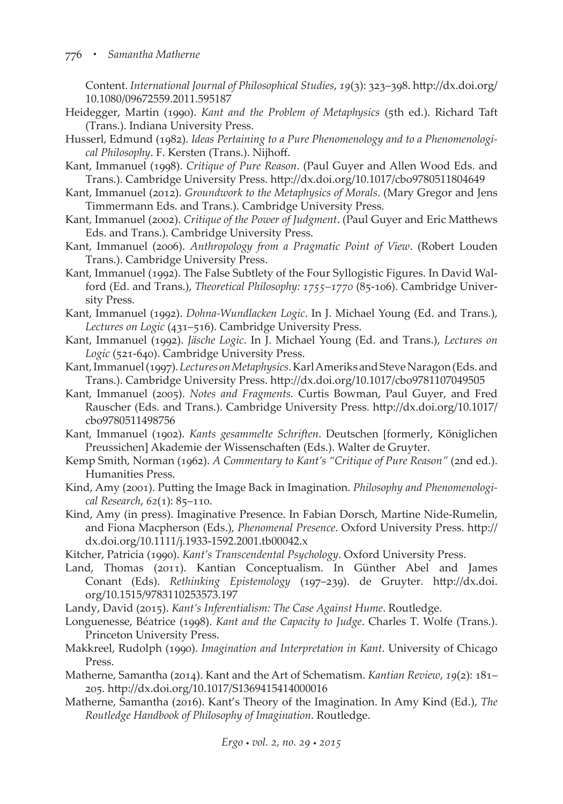Content. *International Journal of Philosophical Studies*, *19*(3): 323–398. http://dx.doi.org/ 10.1080/09672559.2011.595187

- Heidegger, Martin (1990). *Kant and the Problem of Metaphysics* (5th ed.). Richard Taft (Trans.). Indiana University Press.
- Husserl, Edmund (1982). *Ideas Pertaining to a Pure Phenomenology and to a Phenomenological Philosophy*. F. Kersten (Trans.). Nijhoff.
- Kant, Immanuel (1998). *Critique of Pure Reason*. (Paul Guyer and Allen Wood Eds. and Trans.). Cambridge University Press. http://dx.doi.org/10.1017/cbo9780511804649
- Kant, Immanuel (2012). *Groundwork to the Metaphysics of Morals*. (Mary Gregor and Jens Timmermann Eds. and Trans.). Cambridge University Press.
- Kant, Immanuel (2002). *Critique of the Power of Judgment*. (Paul Guyer and Eric Matthews Eds. and Trans.). Cambridge University Press.
- Kant, Immanuel (2006). *Anthropology from a Pragmatic Point of View*. (Robert Louden Trans.). Cambridge University Press.
- Kant, Immanuel (1992). The False Subtlety of the Four Syllogistic Figures. In David Walford (Ed. and Trans.), *Theoretical Philosophy: 1755–1770* (85-106). Cambridge University Press.
- Kant, Immanuel (1992). *Dohna-Wundlacken Logic*. In J. Michael Young (Ed. and Trans.), *Lectures on Logic* (431–516). Cambridge University Press.
- Kant, Immanuel (1992). *Jäsche Logic*. In J. Michael Young (Ed. and Trans.), *Lectures on Logic* (521-640). Cambridge University Press.
- Kant, Immanuel (1997). *Lectures on Metaphysics*. Karl Ameriks and Steve Naragon (Eds. and Trans.). Cambridge University Press. http://dx.doi.org/10.1017/cbo9781107049505
- Kant, Immanuel (2005). *Notes and Fragments.* Curtis Bowman, Paul Guyer, and Fred Rauscher (Eds. and Trans.). Cambridge University Press. http://dx.doi.org/10.1017/ cbo9780511498756
- Kant, Immanuel (1902). *Kants gesammelte Schriften*. Deutschen [formerly, Königlichen Preussichen] Akademie der Wissenschaften (Eds.). Walter de Gruyter.
- Kemp Smith, Norman (1962). *A Commentary to Kant's "Critique of Pure Reason"* (2nd ed.). Humanities Press.
- Kind, Amy (2001). Putting the Image Back in Imagination. *Philosophy and Phenomenological Research*, *62*(1): 85–110.
- Kind, Amy (in press). Imaginative Presence. In Fabian Dorsch, Martine Nide-Rumelin, and Fiona Macpherson (Eds.), *Phenomenal Presence*. Oxford University Press. http:// dx.doi.org/10.1111/j.1933-1592.2001.tb00042.x
- Kitcher, Patricia (1990). *Kant's Transcendental Psychology*. Oxford University Press.
- Land, Thomas (2011). Kantian Conceptualism. In Günther Abel and James Conant (Eds). *Rethinking Epistemology* (197–239). de Gruyter. http://dx.doi. org/10.1515/9783110253573.197
- Landy, David (2015). *Kant's Inferentialism: The Case Against Hume*. Routledge.
- Longuenesse, Béatrice (1998). *Kant and the Capacity to Judge*. Charles T. Wolfe (Trans.). Princeton University Press.
- Makkreel, Rudolph (1990). *Imagination and Interpretation in Kant*. University of Chicago Press.
- Matherne, Samantha (2014). Kant and the Art of Schematism. *Kantian Review*, *19*(2): 181– 205. http://dx.doi.org/10.1017/S1369415414000016
- Matherne, Samantha (2016). Kant's Theory of the Imagination. In Amy Kind (Ed.), *The Routledge Handbook of Philosophy of Imagination*. Routledge.